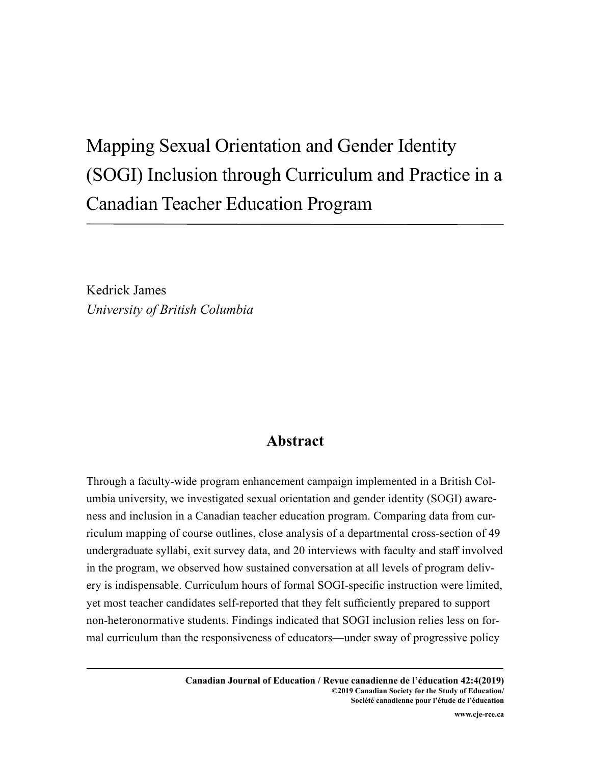# Mapping Sexual Orientation and Gender Identity (SOGI) Inclusion through Curriculum and Practice in a Canadian Teacher Education Program

Kedrick James *University of British Columbia*

# **Abstract**

Through a faculty-wide program enhancement campaign implemented in a British Columbia university, we investigated sexual orientation and gender identity (SOGI) awareness and inclusion in a Canadian teacher education program. Comparing data from curriculum mapping of course outlines, close analysis of a departmental cross-section of 49 undergraduate syllabi, exit survey data, and 20 interviews with faculty and staff involved in the program, we observed how sustained conversation at all levels of program delivery is indispensable. Curriculum hours of formal SOGI-specific instruction were limited, yet most teacher candidates self-reported that they felt sufficiently prepared to support non-heteronormative students. Findings indicated that SOGI inclusion relies less on formal curriculum than the responsiveness of educators—under sway of progressive policy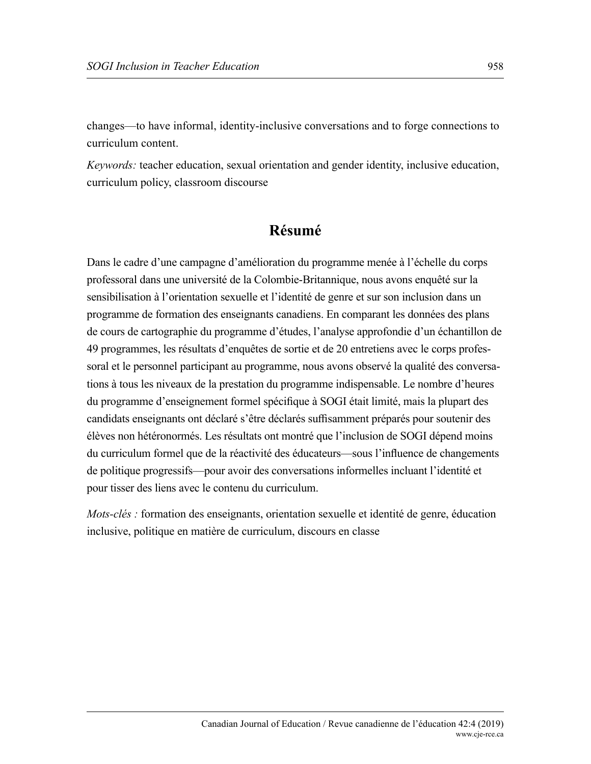changes—to have informal, identity-inclusive conversations and to forge connections to curriculum content.

*Keywords:* teacher education, sexual orientation and gender identity, inclusive education, curriculum policy, classroom discourse

# **Résumé**

Dans le cadre d'une campagne d'amélioration du programme menée à l'échelle du corps professoral dans une université de la Colombie-Britannique, nous avons enquêté sur la sensibilisation à l'orientation sexuelle et l'identité de genre et sur son inclusion dans un programme de formation des enseignants canadiens. En comparant les données des plans de cours de cartographie du programme d'études, l'analyse approfondie d'un échantillon de 49 programmes, les résultats d'enquêtes de sortie et de 20 entretiens avec le corps professoral et le personnel participant au programme, nous avons observé la qualité des conversations à tous les niveaux de la prestation du programme indispensable. Le nombre d'heures du programme d'enseignement formel spécifique à SOGI était limité, mais la plupart des candidats enseignants ont déclaré s'être déclarés suffisamment préparés pour soutenir des élèves non hétéronormés. Les résultats ont montré que l'inclusion de SOGI dépend moins du curriculum formel que de la réactivité des éducateurs—sous l'influence de changements de politique progressifs—pour avoir des conversations informelles incluant l'identité et pour tisser des liens avec le contenu du curriculum.

*Mots-clés : formation des enseignants, orientation sexuelle et identité de genre, éducation* inclusive, politique en matière de curriculum, discours en classe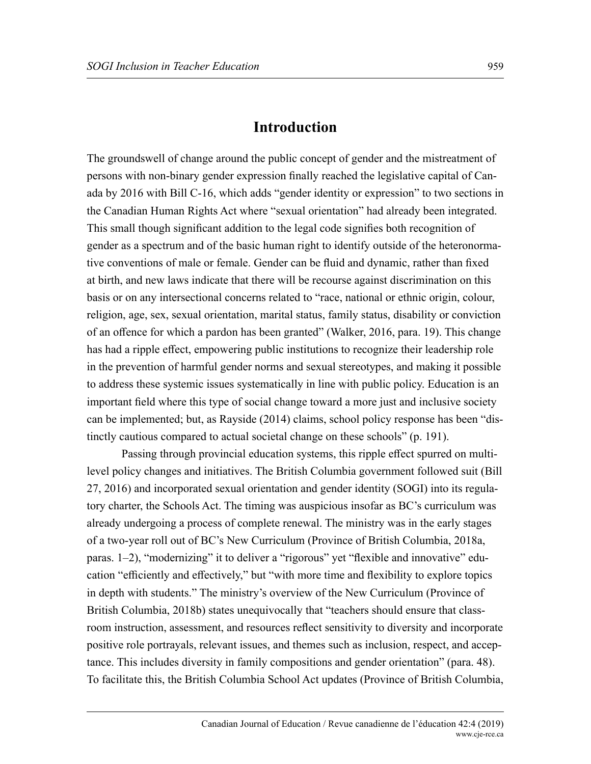#### **Introduction**

The groundswell of change around the public concept of gender and the mistreatment of persons with non-binary gender expression finally reached the legislative capital of Canada by 2016 with Bill C-16, which adds "gender identity or expression" to two sections in the Canadian Human Rights Act where "sexual orientation" had already been integrated. This small though significant addition to the legal code signifies both recognition of gender as a spectrum and of the basic human right to identify outside of the heteronormative conventions of male or female. Gender can be fluid and dynamic, rather than fixed at birth, and new laws indicate that there will be recourse against discrimination on this basis or on any intersectional concerns related to "race, national or ethnic origin, colour, religion, age, sex, sexual orientation, marital status, family status, disability or conviction of an offence for which a pardon has been granted" (Walker, 2016, para. 19). This change has had a ripple effect, empowering public institutions to recognize their leadership role in the prevention of harmful gender norms and sexual stereotypes, and making it possible to address these systemic issues systematically in line with public policy. Education is an important field where this type of social change toward a more just and inclusive society can be implemented; but, as Rayside (2014) claims, school policy response has been "distinctly cautious compared to actual societal change on these schools" (p. 191).

Passing through provincial education systems, this ripple effect spurred on multilevel policy changes and initiatives. The British Columbia government followed suit (Bill 27, 2016) and incorporated sexual orientation and gender identity (SOGI) into its regulatory charter, the Schools Act. The timing was auspicious insofar as BC's curriculum was already undergoing a process of complete renewal. The ministry was in the early stages of a two-year roll out of BC's New Curriculum (Province of British Columbia, 2018a, paras. 1–2), "modernizing" it to deliver a "rigorous" yet "flexible and innovative" education "efficiently and effectively," but "with more time and flexibility to explore topics in depth with students." The ministry's overview of the New Curriculum (Province of British Columbia, 2018b) states unequivocally that "teachers should ensure that classroom instruction, assessment, and resources reflect sensitivity to diversity and incorporate positive role portrayals, relevant issues, and themes such as inclusion, respect, and acceptance. This includes diversity in family compositions and gender orientation" (para. 48). To facilitate this, the British Columbia School Act updates (Province of British Columbia,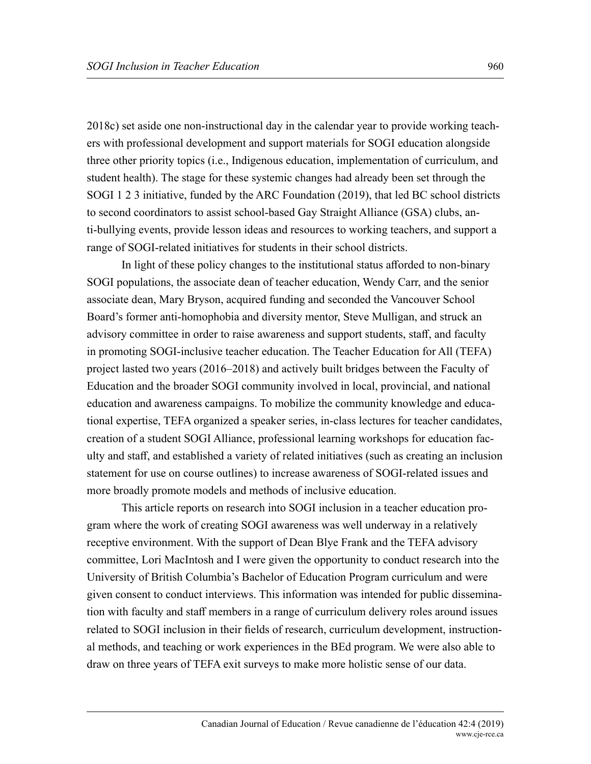2018c) set aside one non-instructional day in the calendar year to provide working teachers with professional development and support materials for SOGI education alongside three other priority topics (i.e., Indigenous education, implementation of curriculum, and student health). The stage for these systemic changes had already been set through the SOGI 1 2 3 initiative, funded by the ARC Foundation (2019), that led BC school districts to second coordinators to assist school-based Gay Straight Alliance (GSA) clubs, anti-bullying events, provide lesson ideas and resources to working teachers, and support a range of SOGI-related initiatives for students in their school districts.

In light of these policy changes to the institutional status afforded to non-binary SOGI populations, the associate dean of teacher education, Wendy Carr, and the senior associate dean, Mary Bryson, acquired funding and seconded the Vancouver School Board's former anti-homophobia and diversity mentor, Steve Mulligan, and struck an advisory committee in order to raise awareness and support students, staff, and faculty in promoting SOGI-inclusive teacher education. The Teacher Education for All (TEFA) project lasted two years (2016–2018) and actively built bridges between the Faculty of Education and the broader SOGI community involved in local, provincial, and national education and awareness campaigns. To mobilize the community knowledge and educational expertise, TEFA organized a speaker series, in-class lectures for teacher candidates, creation of a student SOGI Alliance, professional learning workshops for education faculty and staff, and established a variety of related initiatives (such as creating an inclusion statement for use on course outlines) to increase awareness of SOGI-related issues and more broadly promote models and methods of inclusive education.

This article reports on research into SOGI inclusion in a teacher education program where the work of creating SOGI awareness was well underway in a relatively receptive environment. With the support of Dean Blye Frank and the TEFA advisory committee, Lori MacIntosh and I were given the opportunity to conduct research into the University of British Columbia's Bachelor of Education Program curriculum and were given consent to conduct interviews. This information was intended for public dissemination with faculty and staff members in a range of curriculum delivery roles around issues related to SOGI inclusion in their fields of research, curriculum development, instructional methods, and teaching or work experiences in the BEd program. We were also able to draw on three years of TEFA exit surveys to make more holistic sense of our data.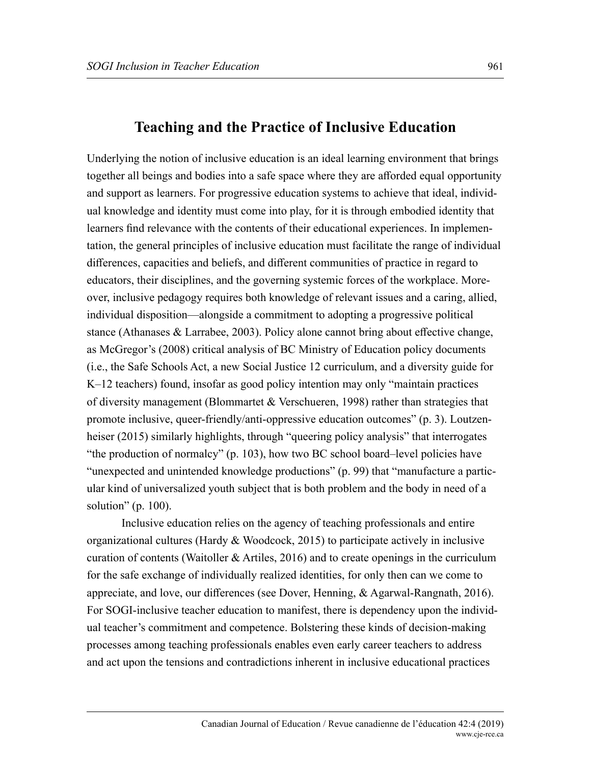## **Teaching and the Practice of Inclusive Education**

Underlying the notion of inclusive education is an ideal learning environment that brings together all beings and bodies into a safe space where they are afforded equal opportunity and support as learners. For progressive education systems to achieve that ideal, individual knowledge and identity must come into play, for it is through embodied identity that learners find relevance with the contents of their educational experiences. In implementation, the general principles of inclusive education must facilitate the range of individual differences, capacities and beliefs, and different communities of practice in regard to educators, their disciplines, and the governing systemic forces of the workplace. Moreover, inclusive pedagogy requires both knowledge of relevant issues and a caring, allied, individual disposition—alongside a commitment to adopting a progressive political stance (Athanases & Larrabee, 2003). Policy alone cannot bring about effective change, as McGregor's (2008) critical analysis of BC Ministry of Education policy documents (i.e., the Safe Schools Act, a new Social Justice 12 curriculum, and a diversity guide for K–12 teachers) found, insofar as good policy intention may only "maintain practices of diversity management (Blommartet & Verschueren, 1998) rather than strategies that promote inclusive, queer-friendly/anti-oppressive education outcomes" (p. 3). Loutzenheiser (2015) similarly highlights, through "queering policy analysis" that interrogates "the production of normalcy" (p. 103), how two BC school board–level policies have "unexpected and unintended knowledge productions" (p. 99) that "manufacture a particular kind of universalized youth subject that is both problem and the body in need of a solution" (p. 100).

Inclusive education relies on the agency of teaching professionals and entire organizational cultures (Hardy & Woodcock, 2015) to participate actively in inclusive curation of contents (Waitoller  $&$  Artiles, 2016) and to create openings in the curriculum for the safe exchange of individually realized identities, for only then can we come to appreciate, and love, our differences (see Dover, Henning, & Agarwal-Rangnath, 2016). For SOGI-inclusive teacher education to manifest, there is dependency upon the individual teacher's commitment and competence. Bolstering these kinds of decision-making processes among teaching professionals enables even early career teachers to address and act upon the tensions and contradictions inherent in inclusive educational practices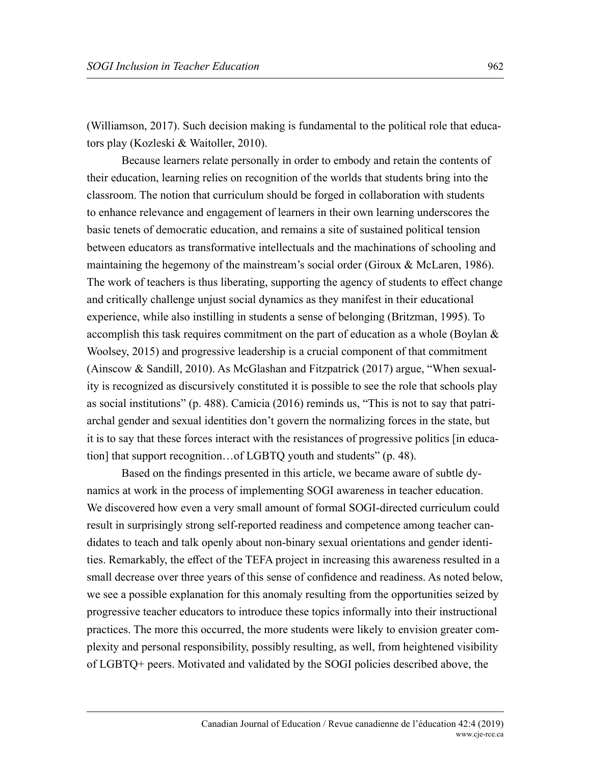(Williamson, 2017). Such decision making is fundamental to the political role that educators play (Kozleski & Waitoller, 2010).

Because learners relate personally in order to embody and retain the contents of their education, learning relies on recognition of the worlds that students bring into the classroom. The notion that curriculum should be forged in collaboration with students to enhance relevance and engagement of learners in their own learning underscores the basic tenets of democratic education, and remains a site of sustained political tension between educators as transformative intellectuals and the machinations of schooling and maintaining the hegemony of the mainstream's social order (Giroux & McLaren, 1986). The work of teachers is thus liberating, supporting the agency of students to effect change and critically challenge unjust social dynamics as they manifest in their educational experience, while also instilling in students a sense of belonging (Britzman, 1995). To accomplish this task requires commitment on the part of education as a whole (Boylan & Woolsey, 2015) and progressive leadership is a crucial component of that commitment (Ainscow & Sandill, 2010). As McGlashan and Fitzpatrick (2017) argue, "When sexuality is recognized as discursively constituted it is possible to see the role that schools play as social institutions" (p. 488). Camicia (2016) reminds us, "This is not to say that patriarchal gender and sexual identities don't govern the normalizing forces in the state, but it is to say that these forces interact with the resistances of progressive politics [in education] that support recognition…of LGBTQ youth and students" (p. 48).

Based on the findings presented in this article, we became aware of subtle dynamics at work in the process of implementing SOGI awareness in teacher education. We discovered how even a very small amount of formal SOGI-directed curriculum could result in surprisingly strong self-reported readiness and competence among teacher candidates to teach and talk openly about non-binary sexual orientations and gender identities. Remarkably, the effect of the TEFA project in increasing this awareness resulted in a small decrease over three years of this sense of confidence and readiness. As noted below, we see a possible explanation for this anomaly resulting from the opportunities seized by progressive teacher educators to introduce these topics informally into their instructional practices. The more this occurred, the more students were likely to envision greater complexity and personal responsibility, possibly resulting, as well, from heightened visibility of LGBTQ+ peers. Motivated and validated by the SOGI policies described above, the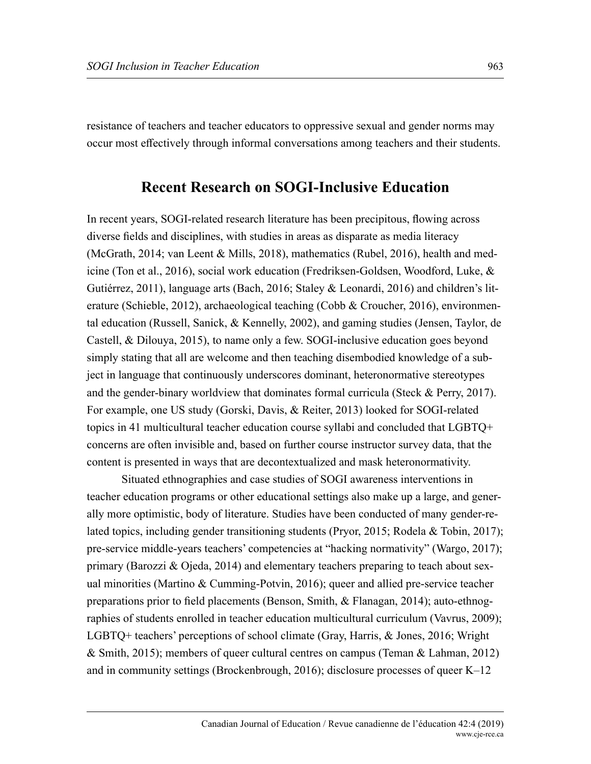resistance of teachers and teacher educators to oppressive sexual and gender norms may occur most effectively through informal conversations among teachers and their students.

### **Recent Research on SOGI-Inclusive Education**

In recent years, SOGI-related research literature has been precipitous, flowing across diverse fields and disciplines, with studies in areas as disparate as media literacy (McGrath, 2014; van Leent & Mills, 2018), mathematics (Rubel, 2016), health and medicine (Ton et al., 2016), social work education (Fredriksen-Goldsen, Woodford, Luke, & Gutiérrez, 2011), language arts (Bach, 2016; Staley & Leonardi, 2016) and children's literature (Schieble, 2012), archaeological teaching (Cobb & Croucher, 2016), environmental education (Russell, Sanick, & Kennelly, 2002), and gaming studies (Jensen, Taylor, de Castell, & Dilouya, 2015), to name only a few. SOGI-inclusive education goes beyond simply stating that all are welcome and then teaching disembodied knowledge of a subject in language that continuously underscores dominant, heteronormative stereotypes and the gender-binary worldview that dominates formal curricula (Steck & Perry, 2017). For example, one US study (Gorski, Davis, & Reiter, 2013) looked for SOGI-related topics in 41 multicultural teacher education course syllabi and concluded that LGBTQ+ concerns are often invisible and, based on further course instructor survey data, that the content is presented in ways that are decontextualized and mask heteronormativity.

Situated ethnographies and case studies of SOGI awareness interventions in teacher education programs or other educational settings also make up a large, and generally more optimistic, body of literature. Studies have been conducted of many gender-related topics, including gender transitioning students (Pryor, 2015; Rodela & Tobin, 2017); pre-service middle-years teachers' competencies at "hacking normativity" (Wargo, 2017); primary (Barozzi & Ojeda, 2014) and elementary teachers preparing to teach about sexual minorities (Martino & Cumming-Potvin, 2016); queer and allied pre-service teacher preparations prior to field placements (Benson, Smith, & Flanagan, 2014); auto-ethnographies of students enrolled in teacher education multicultural curriculum (Vavrus, 2009); LGBTQ+ teachers' perceptions of school climate (Gray, Harris, & Jones, 2016; Wright & Smith, 2015); members of queer cultural centres on campus (Teman & Lahman, 2012) and in community settings (Brockenbrough, 2016); disclosure processes of queer K–12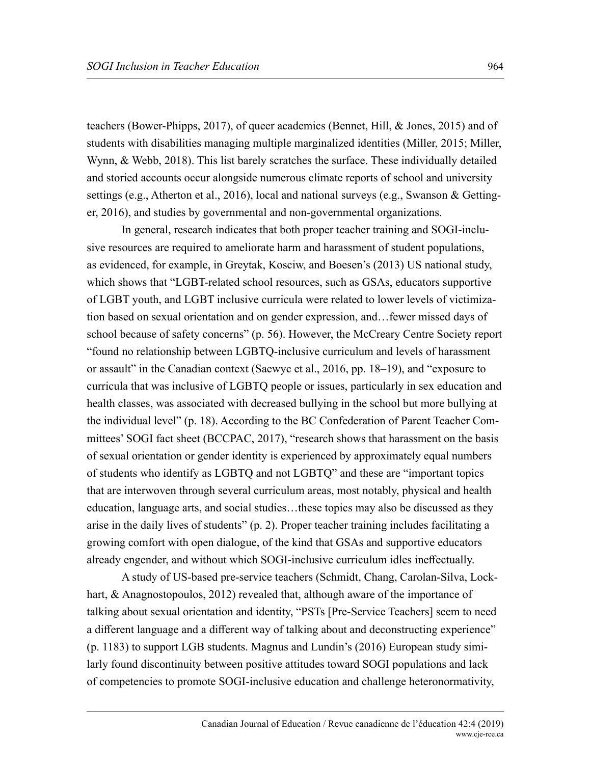teachers (Bower-Phipps, 2017), of queer academics (Bennet, Hill, & Jones, 2015) and of students with disabilities managing multiple marginalized identities (Miller, 2015; Miller, Wynn, & Webb, 2018). This list barely scratches the surface. These individually detailed and storied accounts occur alongside numerous climate reports of school and university settings (e.g., Atherton et al., 2016), local and national surveys (e.g., Swanson & Gettinger, 2016), and studies by governmental and non-governmental organizations.

In general, research indicates that both proper teacher training and SOGI-inclusive resources are required to ameliorate harm and harassment of student populations, as evidenced, for example, in Greytak, Kosciw, and Boesen's (2013) US national study, which shows that "LGBT-related school resources, such as GSAs, educators supportive of LGBT youth, and LGBT inclusive curricula were related to lower levels of victimization based on sexual orientation and on gender expression, and…fewer missed days of school because of safety concerns" (p. 56). However, the McCreary Centre Society report "found no relationship between LGBTQ-inclusive curriculum and levels of harassment or assault" in the Canadian context (Saewyc et al., 2016, pp. 18–19), and "exposure to curricula that was inclusive of LGBTQ people or issues, particularly in sex education and health classes, was associated with decreased bullying in the school but more bullying at the individual level" (p. 18). According to the BC Confederation of Parent Teacher Committees' SOGI fact sheet (BCCPAC, 2017), "research shows that harassment on the basis of sexual orientation or gender identity is experienced by approximately equal numbers of students who identify as LGBTQ and not LGBTQ" and these are "important topics that are interwoven through several curriculum areas, most notably, physical and health education, language arts, and social studies…these topics may also be discussed as they arise in the daily lives of students" (p. 2). Proper teacher training includes facilitating a growing comfort with open dialogue, of the kind that GSAs and supportive educators already engender, and without which SOGI-inclusive curriculum idles ineffectually.

A study of US-based pre-service teachers (Schmidt, Chang, Carolan-Silva, Lockhart, & Anagnostopoulos, 2012) revealed that, although aware of the importance of talking about sexual orientation and identity, "PSTs [Pre-Service Teachers] seem to need a different language and a different way of talking about and deconstructing experience" (p. 1183) to support LGB students. Magnus and Lundin's (2016) European study similarly found discontinuity between positive attitudes toward SOGI populations and lack of competencies to promote SOGI-inclusive education and challenge heteronormativity,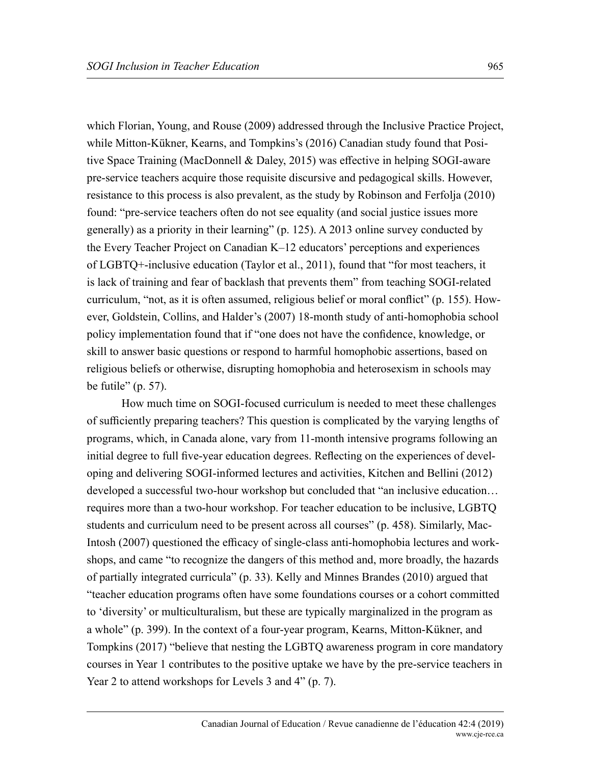which Florian, Young, and Rouse (2009) addressed through the Inclusive Practice Project, while Mitton-Kükner, Kearns, and Tompkins's (2016) Canadian study found that Positive Space Training (MacDonnell & Daley, 2015) was effective in helping SOGI-aware pre-service teachers acquire those requisite discursive and pedagogical skills. However, resistance to this process is also prevalent, as the study by Robinson and Ferfolja (2010) found: "pre-service teachers often do not see equality (and social justice issues more generally) as a priority in their learning" (p. 125). A 2013 online survey conducted by the Every Teacher Project on Canadian K–12 educators' perceptions and experiences of LGBTQ+-inclusive education (Taylor et al., 2011), found that "for most teachers, it is lack of training and fear of backlash that prevents them" from teaching SOGI-related curriculum, "not, as it is often assumed, religious belief or moral conflict" (p. 155). However, Goldstein, Collins, and Halder's (2007) 18-month study of anti-homophobia school policy implementation found that if "one does not have the confidence, knowledge, or skill to answer basic questions or respond to harmful homophobic assertions, based on religious beliefs or otherwise, disrupting homophobia and heterosexism in schools may be futile"  $(p. 57)$ .

How much time on SOGI-focused curriculum is needed to meet these challenges of sufficiently preparing teachers? This question is complicated by the varying lengths of programs, which, in Canada alone, vary from 11-month intensive programs following an initial degree to full five-year education degrees. Reflecting on the experiences of developing and delivering SOGI-informed lectures and activities, Kitchen and Bellini (2012) developed a successful two-hour workshop but concluded that "an inclusive education… requires more than a two-hour workshop. For teacher education to be inclusive, LGBTQ students and curriculum need to be present across all courses" (p. 458). Similarly, Mac-Intosh (2007) questioned the efficacy of single-class anti-homophobia lectures and workshops, and came "to recognize the dangers of this method and, more broadly, the hazards of partially integrated curricula" (p. 33). Kelly and Minnes Brandes (2010) argued that "teacher education programs often have some foundations courses or a cohort committed to 'diversity' or multiculturalism, but these are typically marginalized in the program as a whole" (p. 399). In the context of a four-year program, Kearns, Mitton-Kükner, and Tompkins (2017) "believe that nesting the LGBTQ awareness program in core mandatory courses in Year 1 contributes to the positive uptake we have by the pre-service teachers in Year 2 to attend workshops for Levels 3 and 4" (p. 7).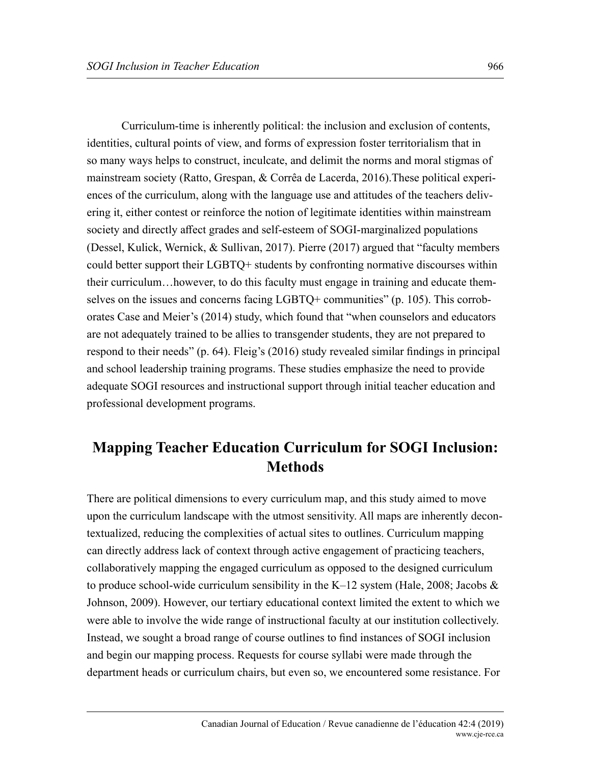Curriculum-time is inherently political: the inclusion and exclusion of contents, identities, cultural points of view, and forms of expression foster territorialism that in so many ways helps to construct, inculcate, and delimit the norms and moral stigmas of mainstream society (Ratto, Grespan, & Corrêa de Lacerda, 2016).These political experiences of the curriculum, along with the language use and attitudes of the teachers delivering it, either contest or reinforce the notion of legitimate identities within mainstream society and directly affect grades and self-esteem of SOGI-marginalized populations (Dessel, Kulick, Wernick, & Sullivan, 2017). Pierre (2017) argued that "faculty members could better support their LGBTQ+ students by confronting normative discourses within their curriculum…however, to do this faculty must engage in training and educate themselves on the issues and concerns facing LGBTQ+ communities" (p. 105). This corroborates Case and Meier's (2014) study, which found that "when counselors and educators are not adequately trained to be allies to transgender students, they are not prepared to respond to their needs" (p. 64). Fleig's (2016) study revealed similar findings in principal and school leadership training programs. These studies emphasize the need to provide adequate SOGI resources and instructional support through initial teacher education and professional development programs.

# **Mapping Teacher Education Curriculum for SOGI Inclusion: Methods**

There are political dimensions to every curriculum map, and this study aimed to move upon the curriculum landscape with the utmost sensitivity. All maps are inherently decontextualized, reducing the complexities of actual sites to outlines. Curriculum mapping can directly address lack of context through active engagement of practicing teachers, collaboratively mapping the engaged curriculum as opposed to the designed curriculum to produce school-wide curriculum sensibility in the K–12 system (Hale, 2008; Jacobs  $\&$ Johnson, 2009). However, our tertiary educational context limited the extent to which we were able to involve the wide range of instructional faculty at our institution collectively. Instead, we sought a broad range of course outlines to find instances of SOGI inclusion and begin our mapping process. Requests for course syllabi were made through the department heads or curriculum chairs, but even so, we encountered some resistance. For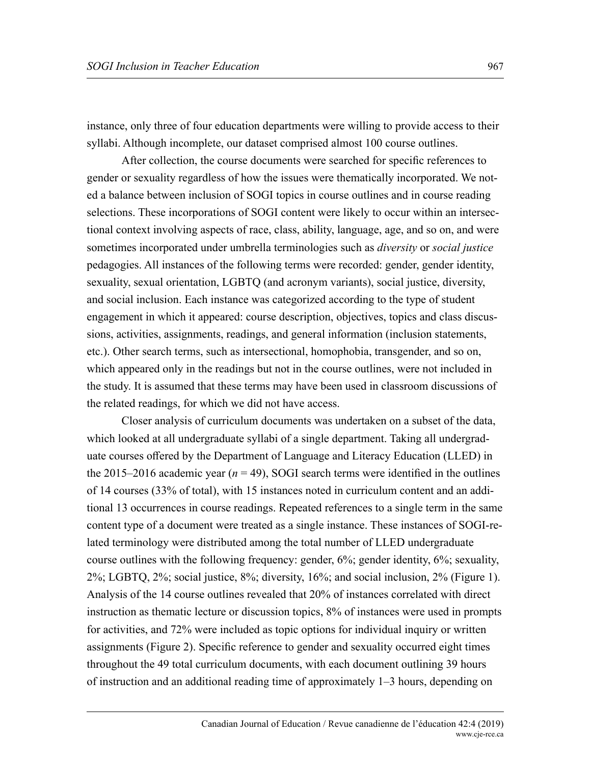instance, only three of four education departments were willing to provide access to their syllabi. Although incomplete, our dataset comprised almost 100 course outlines.

After collection, the course documents were searched for specific references to gender or sexuality regardless of how the issues were thematically incorporated. We noted a balance between inclusion of SOGI topics in course outlines and in course reading selections. These incorporations of SOGI content were likely to occur within an intersectional context involving aspects of race, class, ability, language, age, and so on, and were sometimes incorporated under umbrella terminologies such as *diversity* or *social justice*  pedagogies. All instances of the following terms were recorded: gender, gender identity, sexuality, sexual orientation, LGBTQ (and acronym variants), social justice, diversity, and social inclusion. Each instance was categorized according to the type of student engagement in which it appeared: course description, objectives, topics and class discussions, activities, assignments, readings, and general information (inclusion statements, etc.). Other search terms, such as intersectional, homophobia, transgender, and so on, which appeared only in the readings but not in the course outlines, were not included in the study. It is assumed that these terms may have been used in classroom discussions of the related readings, for which we did not have access.

Closer analysis of curriculum documents was undertaken on a subset of the data, which looked at all undergraduate syllabi of a single department. Taking all undergraduate courses offered by the Department of Language and Literacy Education (LLED) in the 2015–2016 academic year  $(n = 49)$ , SOGI search terms were identified in the outlines of 14 courses (33% of total), with 15 instances noted in curriculum content and an additional 13 occurrences in course readings. Repeated references to a single term in the same content type of a document were treated as a single instance. These instances of SOGI-related terminology were distributed among the total number of LLED undergraduate course outlines with the following frequency: gender, 6%; gender identity, 6%; sexuality, 2%; LGBTQ, 2%; social justice, 8%; diversity, 16%; and social inclusion, 2% (Figure 1). Analysis of the 14 course outlines revealed that 20% of instances correlated with direct instruction as thematic lecture or discussion topics, 8% of instances were used in prompts for activities, and 72% were included as topic options for individual inquiry or written assignments (Figure 2). Specific reference to gender and sexuality occurred eight times throughout the 49 total curriculum documents, with each document outlining 39 hours of instruction and an additional reading time of approximately 1–3 hours, depending on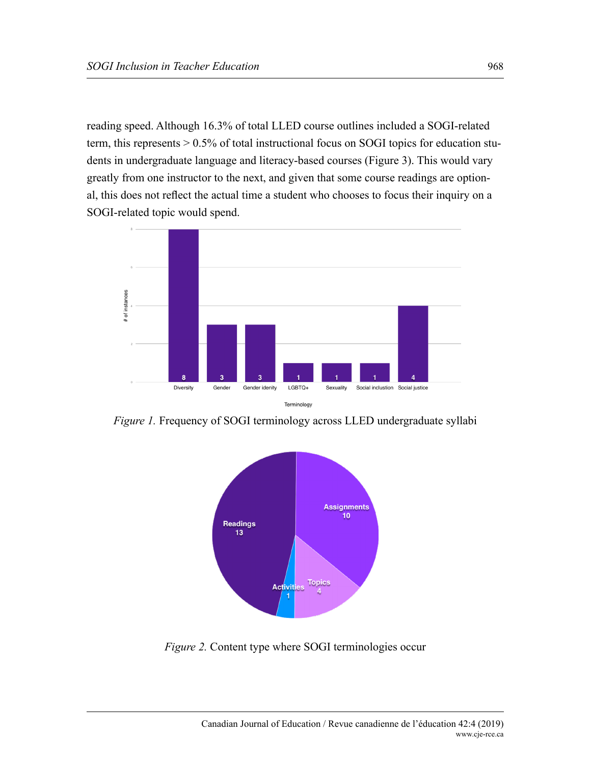reading speed. Although 16.3% of total LLED course outlines included a SOGI-related term, this represents > 0.5% of total instructional focus on SOGI topics for education students in undergraduate language and literacy-based courses (Figure 3). This would vary greatly from one instructor to the next, and given that some course readings are optional, this does not reflect the actual time a student who chooses to focus their inquiry on a SOGI-related topic would spend.



*Figure 1.* Frequency of SOGI terminology across LLED undergraduate syllabi



*Figure 2.* Content type where SOGI terminologies occur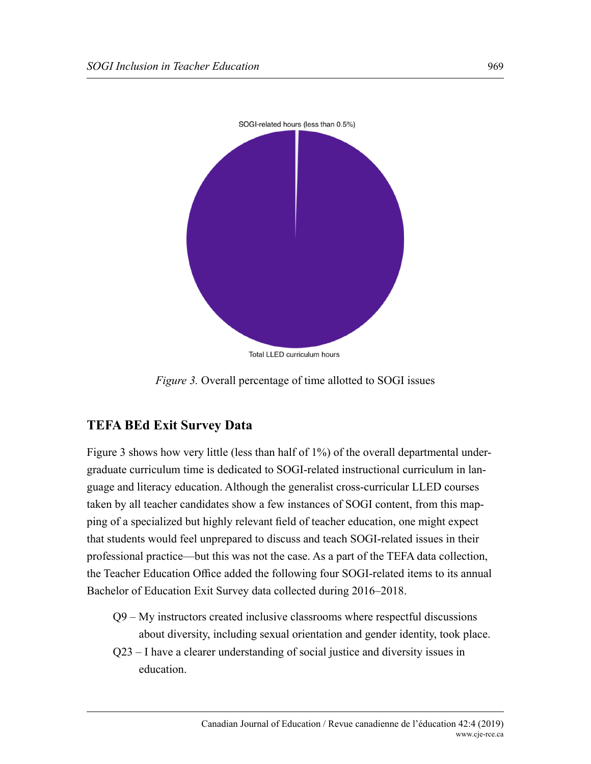

*Figure 3.* Overall percentage of time allotted to SOGI issues

# **TEFA BEd Exit Survey Data**

Figure 3 shows how very little (less than half of 1%) of the overall departmental undergraduate curriculum time is dedicated to SOGI-related instructional curriculum in language and literacy education. Although the generalist cross-curricular LLED courses taken by all teacher candidates show a few instances of SOGI content, from this mapping of a specialized but highly relevant field of teacher education, one might expect that students would feel unprepared to discuss and teach SOGI-related issues in their professional practice—but this was not the case. As a part of the TEFA data collection, the Teacher Education Office added the following four SOGI-related items to its annual Bachelor of Education Exit Survey data collected during 2016–2018.

- Q9 My instructors created inclusive classrooms where respectful discussions about diversity, including sexual orientation and gender identity, took place.
- Q23 I have a clearer understanding of social justice and diversity issues in education.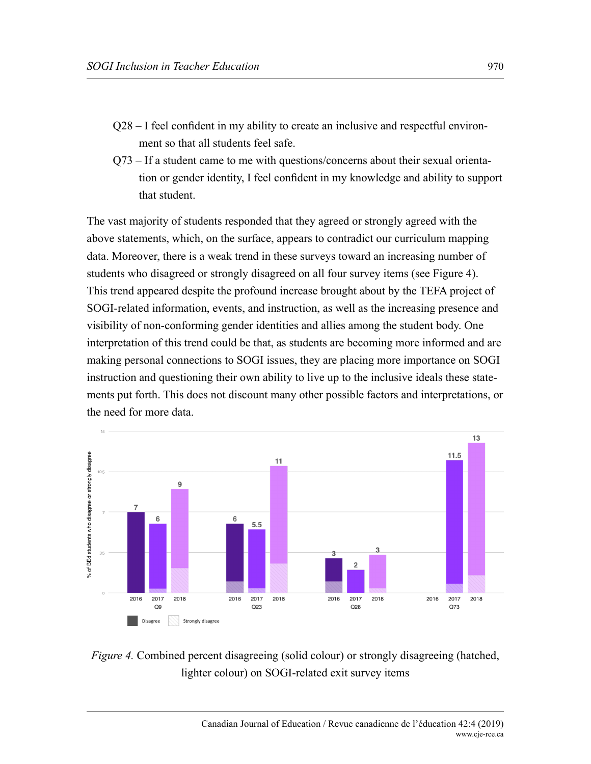- Q28 I feel confident in my ability to create an inclusive and respectful environment so that all students feel safe.
- Q73 If a student came to me with questions/concerns about their sexual orientation or gender identity, I feel confident in my knowledge and ability to support that student.

The vast majority of students responded that they agreed or strongly agreed with the above statements, which, on the surface, appears to contradict our curriculum mapping data. Moreover, there is a weak trend in these surveys toward an increasing number of students who disagreed or strongly disagreed on all four survey items (see Figure 4). This trend appeared despite the profound increase brought about by the TEFA project of SOGI-related information, events, and instruction, as well as the increasing presence and visibility of non-conforming gender identities and allies among the student body. One interpretation of this trend could be that, as students are becoming more informed and are making personal connections to SOGI issues, they are placing more importance on SOGI instruction and questioning their own ability to live up to the inclusive ideals these statements put forth. This does not discount many other possible factors and interpretations, or the need for more data.



*Figure 4.* Combined percent disagreeing (solid colour) or strongly disagreeing (hatched, lighter colour) on SOGI-related exit survey items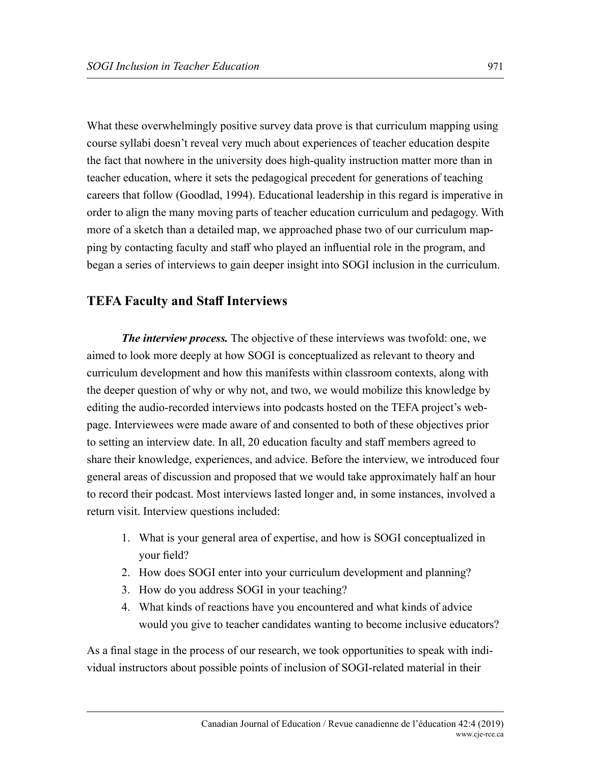What these overwhelmingly positive survey data prove is that curriculum mapping using course syllabi doesn't reveal very much about experiences of teacher education despite the fact that nowhere in the university does high-quality instruction matter more than in teacher education, where it sets the pedagogical precedent for generations of teaching careers that follow (Goodlad, 1994). Educational leadership in this regard is imperative in order to align the many moving parts of teacher education curriculum and pedagogy. With more of a sketch than a detailed map, we approached phase two of our curriculum mapping by contacting faculty and staff who played an influential role in the program, and began a series of interviews to gain deeper insight into SOGI inclusion in the curriculum.

#### **TEFA Faculty and Staff Interviews**

*The interview process.* The objective of these interviews was twofold: one, we aimed to look more deeply at how SOGI is conceptualized as relevant to theory and curriculum development and how this manifests within classroom contexts, along with the deeper question of why or why not, and two, we would mobilize this knowledge by editing the audio-recorded interviews into podcasts hosted on the TEFA project's webpage. Interviewees were made aware of and consented to both of these objectives prior to setting an interview date. In all, 20 education faculty and staff members agreed to share their knowledge, experiences, and advice. Before the interview, we introduced four general areas of discussion and proposed that we would take approximately half an hour to record their podcast. Most interviews lasted longer and, in some instances, involved a return visit. Interview questions included:

- 1. What is your general area of expertise, and how is SOGI conceptualized in your field?
- 2. How does SOGI enter into your curriculum development and planning?
- 3. How do you address SOGI in your teaching?
- 4. What kinds of reactions have you encountered and what kinds of advice would you give to teacher candidates wanting to become inclusive educators?

As a final stage in the process of our research, we took opportunities to speak with individual instructors about possible points of inclusion of SOGI-related material in their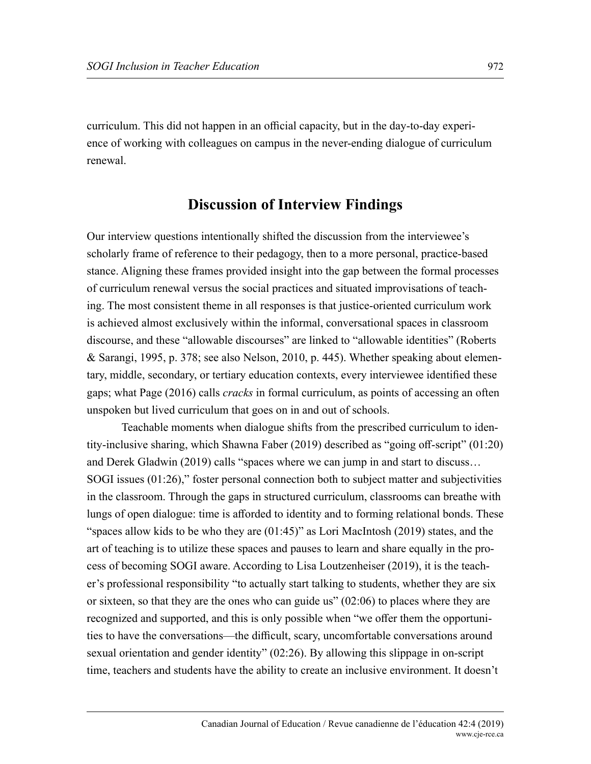curriculum. This did not happen in an official capacity, but in the day-to-day experience of working with colleagues on campus in the never-ending dialogue of curriculum renewal.

## **Discussion of Interview Findings**

Our interview questions intentionally shifted the discussion from the interviewee's scholarly frame of reference to their pedagogy, then to a more personal, practice-based stance. Aligning these frames provided insight into the gap between the formal processes of curriculum renewal versus the social practices and situated improvisations of teaching. The most consistent theme in all responses is that justice-oriented curriculum work is achieved almost exclusively within the informal, conversational spaces in classroom discourse, and these "allowable discourses" are linked to "allowable identities" (Roberts & Sarangi, 1995, p. 378; see also Nelson, 2010, p. 445). Whether speaking about elementary, middle, secondary, or tertiary education contexts, every interviewee identified these gaps; what Page (2016) calls *cracks* in formal curriculum, as points of accessing an often unspoken but lived curriculum that goes on in and out of schools.

Teachable moments when dialogue shifts from the prescribed curriculum to identity-inclusive sharing, which Shawna Faber (2019) described as "going off-script" (01:20) and Derek Gladwin (2019) calls "spaces where we can jump in and start to discuss… SOGI issues (01:26)," foster personal connection both to subject matter and subjectivities in the classroom. Through the gaps in structured curriculum, classrooms can breathe with lungs of open dialogue: time is afforded to identity and to forming relational bonds. These "spaces allow kids to be who they are  $(01:45)$ " as Lori MacIntosh (2019) states, and the art of teaching is to utilize these spaces and pauses to learn and share equally in the process of becoming SOGI aware. According to Lisa Loutzenheiser (2019), it is the teacher's professional responsibility "to actually start talking to students, whether they are six or sixteen, so that they are the ones who can guide us" (02:06) to places where they are recognized and supported, and this is only possible when "we offer them the opportunities to have the conversations—the difficult, scary, uncomfortable conversations around sexual orientation and gender identity" (02:26). By allowing this slippage in on-script time, teachers and students have the ability to create an inclusive environment. It doesn't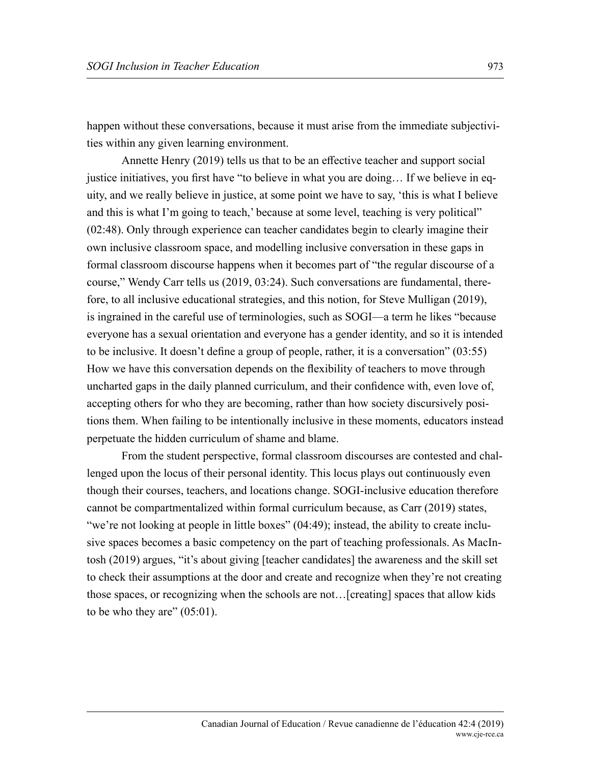happen without these conversations, because it must arise from the immediate subjectivities within any given learning environment.

Annette Henry (2019) tells us that to be an effective teacher and support social justice initiatives, you first have "to believe in what you are doing… If we believe in equity, and we really believe in justice, at some point we have to say, 'this is what I believe and this is what I'm going to teach,' because at some level, teaching is very political" (02:48). Only through experience can teacher candidates begin to clearly imagine their own inclusive classroom space, and modelling inclusive conversation in these gaps in formal classroom discourse happens when it becomes part of "the regular discourse of a course," Wendy Carr tells us (2019, 03:24). Such conversations are fundamental, therefore, to all inclusive educational strategies, and this notion, for Steve Mulligan (2019), is ingrained in the careful use of terminologies, such as SOGI—a term he likes "because everyone has a sexual orientation and everyone has a gender identity, and so it is intended to be inclusive. It doesn't define a group of people, rather, it is a conversation" (03:55) How we have this conversation depends on the flexibility of teachers to move through uncharted gaps in the daily planned curriculum, and their confidence with, even love of, accepting others for who they are becoming, rather than how society discursively positions them. When failing to be intentionally inclusive in these moments, educators instead perpetuate the hidden curriculum of shame and blame.

From the student perspective, formal classroom discourses are contested and challenged upon the locus of their personal identity. This locus plays out continuously even though their courses, teachers, and locations change. SOGI-inclusive education therefore cannot be compartmentalized within formal curriculum because, as Carr (2019) states, "we're not looking at people in little boxes" (04:49); instead, the ability to create inclusive spaces becomes a basic competency on the part of teaching professionals. As MacIntosh (2019) argues, "it's about giving [teacher candidates] the awareness and the skill set to check their assumptions at the door and create and recognize when they're not creating those spaces, or recognizing when the schools are not…[creating] spaces that allow kids to be who they are"  $(05:01)$ .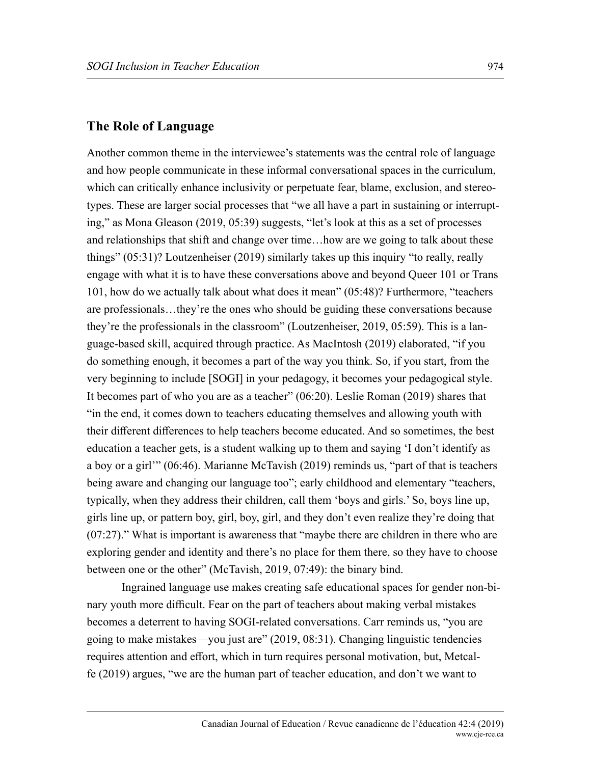#### **The Role of Language**

Another common theme in the interviewee's statements was the central role of language and how people communicate in these informal conversational spaces in the curriculum, which can critically enhance inclusivity or perpetuate fear, blame, exclusion, and stereotypes. These are larger social processes that "we all have a part in sustaining or interrupting," as Mona Gleason (2019, 05:39) suggests, "let's look at this as a set of processes and relationships that shift and change over time…how are we going to talk about these things" (05:31)? Loutzenheiser (2019) similarly takes up this inquiry "to really, really engage with what it is to have these conversations above and beyond Queer 101 or Trans 101, how do we actually talk about what does it mean" (05:48)? Furthermore, "teachers are professionals…they're the ones who should be guiding these conversations because they're the professionals in the classroom" (Loutzenheiser, 2019, 05:59). This is a language-based skill, acquired through practice. As MacIntosh (2019) elaborated, "if you do something enough, it becomes a part of the way you think. So, if you start, from the very beginning to include [SOGI] in your pedagogy, it becomes your pedagogical style. It becomes part of who you are as a teacher" (06:20). Leslie Roman (2019) shares that "in the end, it comes down to teachers educating themselves and allowing youth with their different differences to help teachers become educated. And so sometimes, the best education a teacher gets, is a student walking up to them and saying 'I don't identify as a boy or a girl'" (06:46). Marianne McTavish (2019) reminds us, "part of that is teachers being aware and changing our language too"; early childhood and elementary "teachers, typically, when they address their children, call them 'boys and girls.' So, boys line up, girls line up, or pattern boy, girl, boy, girl, and they don't even realize they're doing that (07:27)." What is important is awareness that "maybe there are children in there who are exploring gender and identity and there's no place for them there, so they have to choose between one or the other" (McTavish, 2019, 07:49): the binary bind.

Ingrained language use makes creating safe educational spaces for gender non-binary youth more difficult. Fear on the part of teachers about making verbal mistakes becomes a deterrent to having SOGI-related conversations. Carr reminds us, "you are going to make mistakes—you just are" (2019, 08:31). Changing linguistic tendencies requires attention and effort, which in turn requires personal motivation, but, Metcalfe (2019) argues, "we are the human part of teacher education, and don't we want to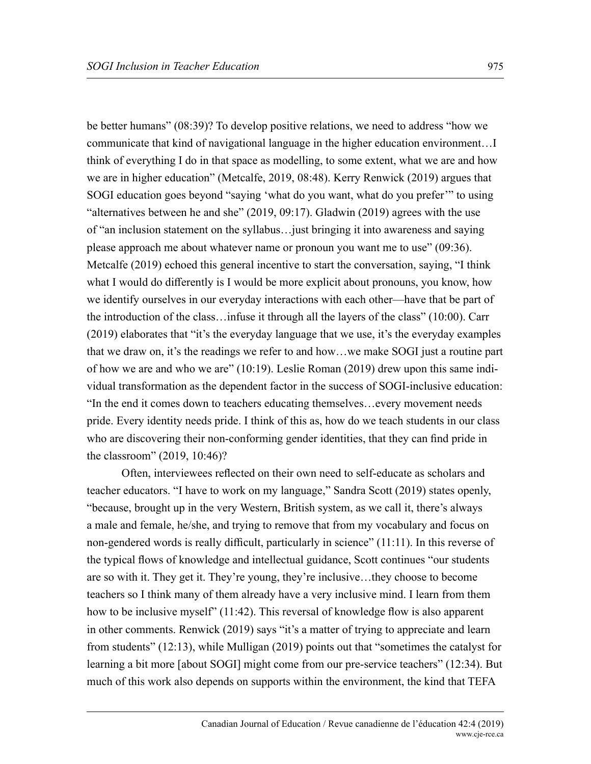be better humans" (08:39)? To develop positive relations, we need to address "how we communicate that kind of navigational language in the higher education environment…I think of everything I do in that space as modelling, to some extent, what we are and how we are in higher education" (Metcalfe, 2019, 08:48). Kerry Renwick (2019) argues that SOGI education goes beyond "saying 'what do you want, what do you prefer'" to using "alternatives between he and she" (2019, 09:17). Gladwin (2019) agrees with the use of "an inclusion statement on the syllabus…just bringing it into awareness and saying please approach me about whatever name or pronoun you want me to use" (09:36). Metcalfe (2019) echoed this general incentive to start the conversation, saying, "I think what I would do differently is I would be more explicit about pronouns, you know, how we identify ourselves in our everyday interactions with each other—have that be part of the introduction of the class…infuse it through all the layers of the class" (10:00). Carr (2019) elaborates that "it's the everyday language that we use, it's the everyday examples that we draw on, it's the readings we refer to and how…we make SOGI just a routine part of how we are and who we are" (10:19). Leslie Roman (2019) drew upon this same individual transformation as the dependent factor in the success of SOGI-inclusive education: "In the end it comes down to teachers educating themselves…every movement needs pride. Every identity needs pride. I think of this as, how do we teach students in our class who are discovering their non-conforming gender identities, that they can find pride in the classroom" (2019, 10:46)?

Often, interviewees reflected on their own need to self-educate as scholars and teacher educators. "I have to work on my language," Sandra Scott (2019) states openly, "because, brought up in the very Western, British system, as we call it, there's always a male and female, he/she, and trying to remove that from my vocabulary and focus on non-gendered words is really difficult, particularly in science" (11:11). In this reverse of the typical flows of knowledge and intellectual guidance, Scott continues "our students are so with it. They get it. They're young, they're inclusive…they choose to become teachers so I think many of them already have a very inclusive mind. I learn from them how to be inclusive myself" (11:42). This reversal of knowledge flow is also apparent in other comments. Renwick (2019) says "it's a matter of trying to appreciate and learn from students" (12:13), while Mulligan (2019) points out that "sometimes the catalyst for learning a bit more [about SOGI] might come from our pre-service teachers" (12:34). But much of this work also depends on supports within the environment, the kind that TEFA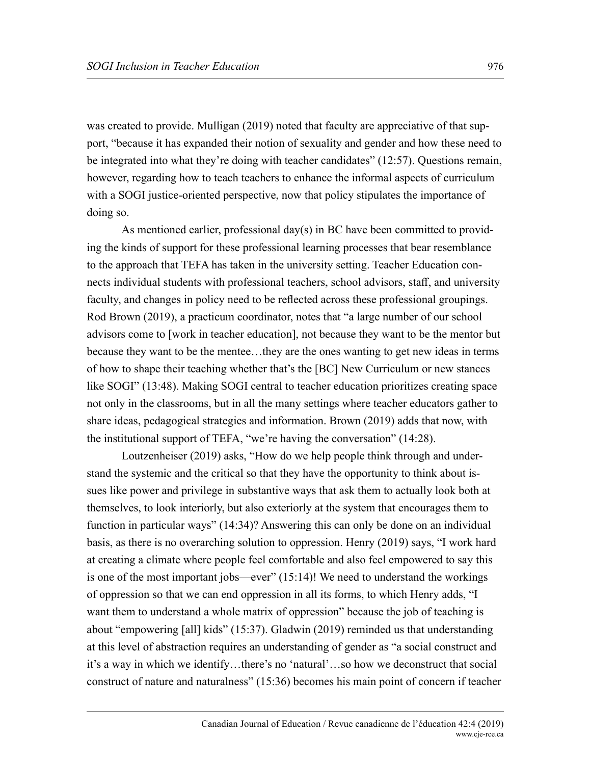was created to provide. Mulligan (2019) noted that faculty are appreciative of that support, "because it has expanded their notion of sexuality and gender and how these need to be integrated into what they're doing with teacher candidates" (12:57). Questions remain, however, regarding how to teach teachers to enhance the informal aspects of curriculum with a SOGI justice-oriented perspective, now that policy stipulates the importance of doing so.

As mentioned earlier, professional day(s) in BC have been committed to providing the kinds of support for these professional learning processes that bear resemblance to the approach that TEFA has taken in the university setting. Teacher Education connects individual students with professional teachers, school advisors, staff, and university faculty, and changes in policy need to be reflected across these professional groupings. Rod Brown (2019), a practicum coordinator, notes that "a large number of our school advisors come to [work in teacher education], not because they want to be the mentor but because they want to be the mentee…they are the ones wanting to get new ideas in terms of how to shape their teaching whether that's the [BC] New Curriculum or new stances like SOGI" (13:48). Making SOGI central to teacher education prioritizes creating space not only in the classrooms, but in all the many settings where teacher educators gather to share ideas, pedagogical strategies and information. Brown (2019) adds that now, with the institutional support of TEFA, "we're having the conversation" (14:28).

Loutzenheiser (2019) asks, "How do we help people think through and understand the systemic and the critical so that they have the opportunity to think about issues like power and privilege in substantive ways that ask them to actually look both at themselves, to look interiorly, but also exteriorly at the system that encourages them to function in particular ways" (14:34)? Answering this can only be done on an individual basis, as there is no overarching solution to oppression. Henry (2019) says, "I work hard at creating a climate where people feel comfortable and also feel empowered to say this is one of the most important jobs—ever" (15:14)! We need to understand the workings of oppression so that we can end oppression in all its forms, to which Henry adds, "I want them to understand a whole matrix of oppression" because the job of teaching is about "empowering [all] kids" (15:37). Gladwin (2019) reminded us that understanding at this level of abstraction requires an understanding of gender as "a social construct and it's a way in which we identify…there's no 'natural'…so how we deconstruct that social construct of nature and naturalness" (15:36) becomes his main point of concern if teacher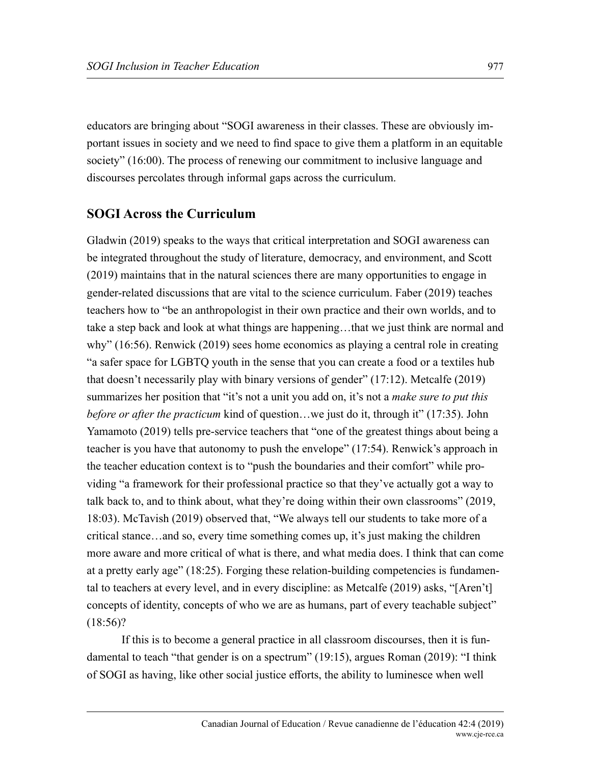educators are bringing about "SOGI awareness in their classes. These are obviously important issues in society and we need to find space to give them a platform in an equitable society" (16:00). The process of renewing our commitment to inclusive language and discourses percolates through informal gaps across the curriculum.

#### **SOGI Across the Curriculum**

Gladwin (2019) speaks to the ways that critical interpretation and SOGI awareness can be integrated throughout the study of literature, democracy, and environment, and Scott (2019) maintains that in the natural sciences there are many opportunities to engage in gender-related discussions that are vital to the science curriculum. Faber (2019) teaches teachers how to "be an anthropologist in their own practice and their own worlds, and to take a step back and look at what things are happening…that we just think are normal and why" (16:56). Renwick (2019) sees home economics as playing a central role in creating "a safer space for LGBTQ youth in the sense that you can create a food or a textiles hub that doesn't necessarily play with binary versions of gender" (17:12). Metcalfe (2019) summarizes her position that "it's not a unit you add on, it's not a *make sure to put this before or after the practicum* kind of question…we just do it, through it" (17:35). John Yamamoto (2019) tells pre-service teachers that "one of the greatest things about being a teacher is you have that autonomy to push the envelope" (17:54). Renwick's approach in the teacher education context is to "push the boundaries and their comfort" while providing "a framework for their professional practice so that they've actually got a way to talk back to, and to think about, what they're doing within their own classrooms" (2019, 18:03). McTavish (2019) observed that, "We always tell our students to take more of a critical stance…and so, every time something comes up, it's just making the children more aware and more critical of what is there, and what media does. I think that can come at a pretty early age" (18:25). Forging these relation-building competencies is fundamental to teachers at every level, and in every discipline: as Metcalfe (2019) asks, "[Aren't] concepts of identity, concepts of who we are as humans, part of every teachable subject"  $(18:56)?$ 

If this is to become a general practice in all classroom discourses, then it is fundamental to teach "that gender is on a spectrum" (19:15), argues Roman (2019): "I think of SOGI as having, like other social justice efforts, the ability to luminesce when well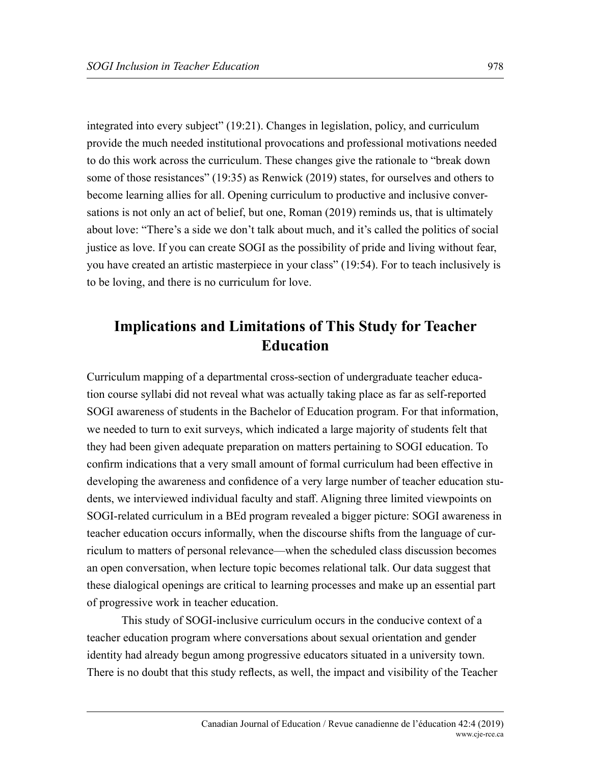integrated into every subject" (19:21). Changes in legislation, policy, and curriculum provide the much needed institutional provocations and professional motivations needed to do this work across the curriculum. These changes give the rationale to "break down some of those resistances" (19:35) as Renwick (2019) states, for ourselves and others to become learning allies for all. Opening curriculum to productive and inclusive conversations is not only an act of belief, but one, Roman (2019) reminds us, that is ultimately about love: "There's a side we don't talk about much, and it's called the politics of social justice as love. If you can create SOGI as the possibility of pride and living without fear, you have created an artistic masterpiece in your class" (19:54). For to teach inclusively is to be loving, and there is no curriculum for love.

# **Implications and Limitations of This Study for Teacher Education**

Curriculum mapping of a departmental cross-section of undergraduate teacher education course syllabi did not reveal what was actually taking place as far as self-reported SOGI awareness of students in the Bachelor of Education program. For that information, we needed to turn to exit surveys, which indicated a large majority of students felt that they had been given adequate preparation on matters pertaining to SOGI education. To confirm indications that a very small amount of formal curriculum had been effective in developing the awareness and confidence of a very large number of teacher education students, we interviewed individual faculty and staff. Aligning three limited viewpoints on SOGI-related curriculum in a BEd program revealed a bigger picture: SOGI awareness in teacher education occurs informally, when the discourse shifts from the language of curriculum to matters of personal relevance—when the scheduled class discussion becomes an open conversation, when lecture topic becomes relational talk. Our data suggest that these dialogical openings are critical to learning processes and make up an essential part of progressive work in teacher education.

This study of SOGI-inclusive curriculum occurs in the conducive context of a teacher education program where conversations about sexual orientation and gender identity had already begun among progressive educators situated in a university town. There is no doubt that this study reflects, as well, the impact and visibility of the Teacher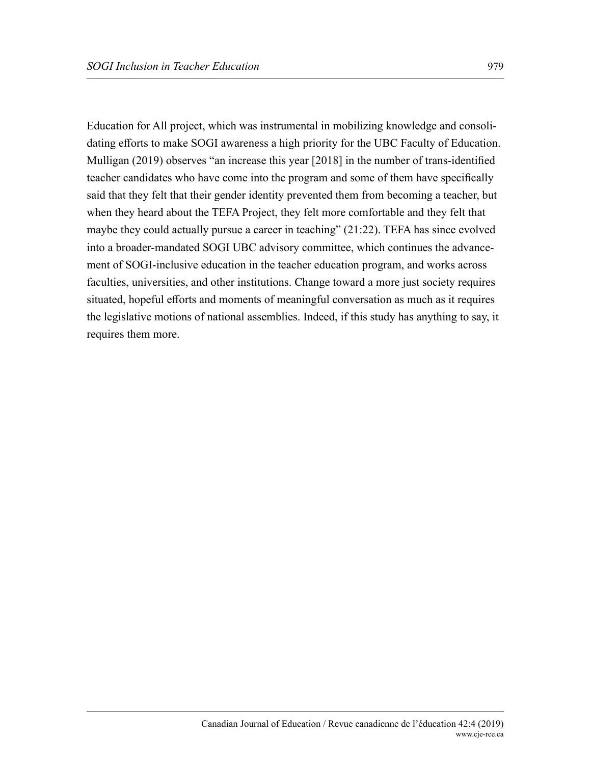Education for All project, which was instrumental in mobilizing knowledge and consolidating efforts to make SOGI awareness a high priority for the UBC Faculty of Education. Mulligan (2019) observes "an increase this year [2018] in the number of trans-identified teacher candidates who have come into the program and some of them have specifically said that they felt that their gender identity prevented them from becoming a teacher, but when they heard about the TEFA Project, they felt more comfortable and they felt that maybe they could actually pursue a career in teaching" (21:22). TEFA has since evolved into a broader-mandated SOGI UBC advisory committee, which continues the advancement of SOGI-inclusive education in the teacher education program, and works across faculties, universities, and other institutions. Change toward a more just society requires situated, hopeful efforts and moments of meaningful conversation as much as it requires the legislative motions of national assemblies. Indeed, if this study has anything to say, it requires them more.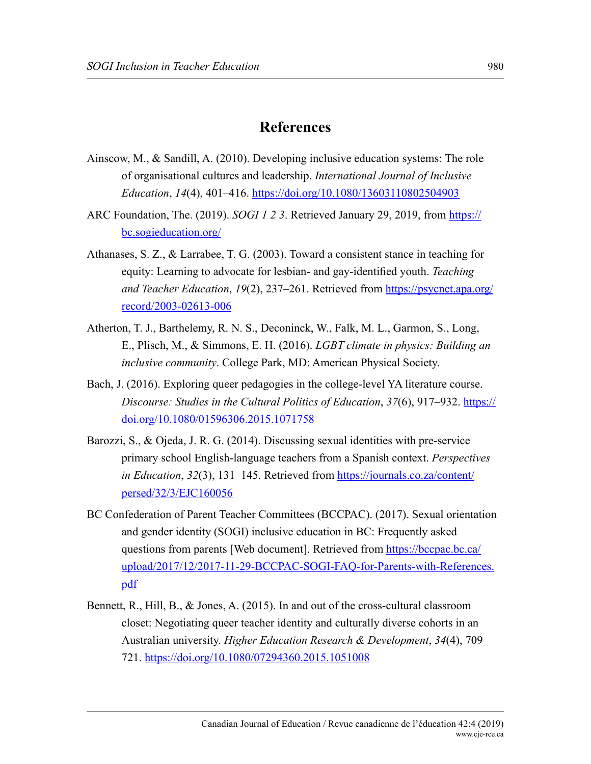## **References**

- Ainscow, M., & Sandill, A. (2010). Developing inclusive education systems: The role of organisational cultures and leadership. *International Journal of Inclusive Education*, *14*(4), 401–416.<https://doi.org/10.1080/13603110802504903>
- ARC Foundation, The. (2019). *SOGI 1 2 3*. Retrieved January 29, 2019, from [https://](https://bc.sogieducation.org/) [bc.sogieducation.org/](https://bc.sogieducation.org/)
- Athanases, S. Z., & Larrabee, T. G. (2003). Toward a consistent stance in teaching for equity: Learning to advocate for lesbian- and gay-identified youth. *Teaching and Teacher Education*, *19*(2), 237–261. Retrieved from [https://psycnet.apa.org/](https://psycnet.apa.org/record/2003-02613-006) [record/2003-02613-006](https://psycnet.apa.org/record/2003-02613-006)
- Atherton, T. J., Barthelemy, R. N. S., Deconinck, W., Falk, M. L., Garmon, S., Long, E., Plisch, M., & Simmons, E. H. (2016). *LGBT climate in physics: Building an inclusive community*. College Park, MD: American Physical Society.
- Bach, J. (2016). Exploring queer pedagogies in the college-level YA literature course. *Discourse: Studies in the Cultural Politics of Education*, *37*(6), 917–932. [https://](https://doi.org/10.1080/01596306.2015.1071758) [doi.org/10.1080/01596306.2015.1071758](https://doi.org/10.1080/01596306.2015.1071758)
- Barozzi, S., & Ojeda, J. R. G. (2014). Discussing sexual identities with pre-service primary school English-language teachers from a Spanish context. *Perspectives in Education*, *32*(3), 131–145. Retrieved from [https://journals.co.za/content/](https://journals.co.za/content/persed/32/3/EJC160056) [persed/32/3/EJC160056](https://journals.co.za/content/persed/32/3/EJC160056)
- BC Confederation of Parent Teacher Committees (BCCPAC). (2017). Sexual orientation and gender identity (SOGI) inclusive education in BC: Frequently asked questions from parents [Web document]. Retrieved from [https://bccpac.bc.ca/](https://bccpac.bc.ca/upload/2017/12/2017-11-29-BCCPAC-SOGI-FAQ-for-Parents-with-References.pdf) [upload/2017/12/2017-11-29-BCCPAC-SOGI-FAQ-for-Parents-with-References.](https://bccpac.bc.ca/upload/2017/12/2017-11-29-BCCPAC-SOGI-FAQ-for-Parents-with-References.pdf) [pdf](https://bccpac.bc.ca/upload/2017/12/2017-11-29-BCCPAC-SOGI-FAQ-for-Parents-with-References.pdf)
- Bennett, R., Hill, B., & Jones, A. (2015). In and out of the cross-cultural classroom closet: Negotiating queer teacher identity and culturally diverse cohorts in an Australian university. *Higher Education Research & Development*, *34*(4), 709– 721. <https://doi.org/10.1080/07294360.2015.1051008>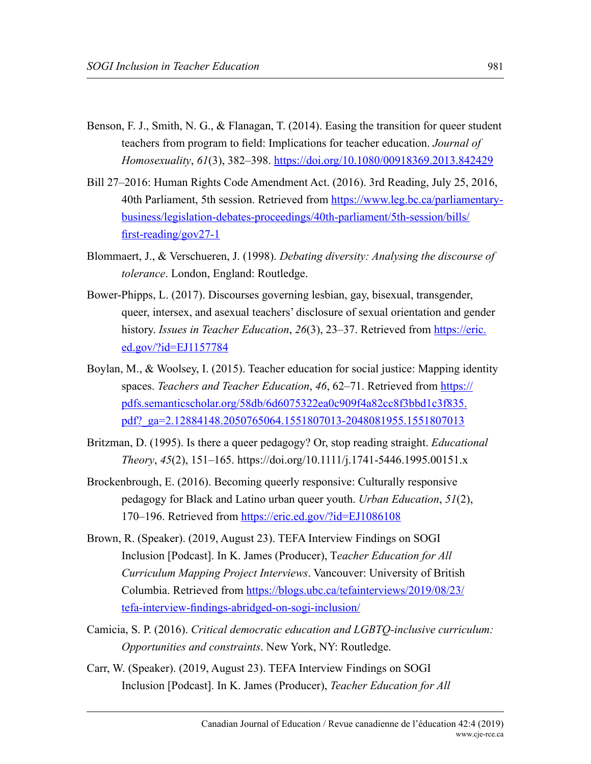- Benson, F. J., Smith, N. G., & Flanagan, T. (2014). Easing the transition for queer student teachers from program to field: Implications for teacher education. *Journal of Homosexuality*, *61*(3), 382–398. <https://doi.org/10.1080/00918369.2013.842429>
- Bill 27–2016: Human Rights Code Amendment Act. (2016). 3rd Reading, July 25, 2016, 40th Parliament, 5th session. Retrieved from [https://www.leg.bc.ca/parliamentary](https://www.leg.bc.ca/parliamentary-business/legislation-debates-proceedings/40th-parliament/5th-session/bills/first-reading/gov27-1)[business/legislation-debates-proceedings/40th-parliament/5th-session/bills/](https://www.leg.bc.ca/parliamentary-business/legislation-debates-proceedings/40th-parliament/5th-session/bills/first-reading/gov27-1) [first-reading/gov27-1](https://www.leg.bc.ca/parliamentary-business/legislation-debates-proceedings/40th-parliament/5th-session/bills/first-reading/gov27-1)
- Blommaert, J., & Verschueren, J. (1998). *Debating diversity: Analysing the discourse of tolerance*. London, England: Routledge.
- Bower-Phipps, L. (2017). Discourses governing lesbian, gay, bisexual, transgender, queer, intersex, and asexual teachers' disclosure of sexual orientation and gender history. *Issues in Teacher Education*, *26*(3), 23–37. Retrieved from [https://eric.](https://eric.ed.gov/?id=EJ1157784) [ed.gov/?id=EJ1157784](https://eric.ed.gov/?id=EJ1157784)
- Boylan, M., & Woolsey, I. (2015). Teacher education for social justice: Mapping identity spaces. *Teachers and Teacher Education*, *46*, 62–71. Retrieved from [https://](https://pdfs.semanticscholar.org/58db/6d6075322ea0c909f4a82cc8f3bbd1c3f835.pdf%3F_ga%3D2.12884148.2050765064.1551807013-2048081955.1551807013) [pdfs.semanticscholar.org/58db/6d6075322ea0c909f4a82cc8f3bbd1c3f835.](https://pdfs.semanticscholar.org/58db/6d6075322ea0c909f4a82cc8f3bbd1c3f835.pdf%3F_ga%3D2.12884148.2050765064.1551807013-2048081955.1551807013) [pdf?\\_ga=2.12884148.2050765064.1551807013-2048081955.1551807013](https://pdfs.semanticscholar.org/58db/6d6075322ea0c909f4a82cc8f3bbd1c3f835.pdf%3F_ga%3D2.12884148.2050765064.1551807013-2048081955.1551807013)
- Britzman, D. (1995). Is there a queer pedagogy? Or, stop reading straight. *Educational Theory*, *45*(2), 151–165. https://doi.org/10.1111/j.1741-5446.1995.00151.x
- Brockenbrough, E. (2016). Becoming queerly responsive: Culturally responsive pedagogy for Black and Latino urban queer youth. *Urban Education*, *51*(2), 170–196. Retrieved from <https://eric.ed.gov/?id=EJ1086108>
- Brown, R. (Speaker). (2019, August 23). TEFA Interview Findings on SOGI Inclusion [Podcast]. In K. James (Producer), T*eacher Education for All Curriculum Mapping Project Interviews*. Vancouver: University of British Columbia. Retrieved from [https://blogs.ubc.ca/tefainterviews/2019/08/23/](https://blogs.ubc.ca/tefainterviews/2019/08/23/tefa-interview-findings-abridged-on-sogi-inclusion/) [tefa-interview-findings-abridged-on-sogi-inclusion/](https://blogs.ubc.ca/tefainterviews/2019/08/23/tefa-interview-findings-abridged-on-sogi-inclusion/)
- Camicia, S. P. (2016). *Critical democratic education and LGBTQ-inclusive curriculum: Opportunities and constraints*. New York, NY: Routledge.
- Carr, W. (Speaker). (2019, August 23). TEFA Interview Findings on SOGI Inclusion [Podcast]. In K. James (Producer), *Teacher Education for All*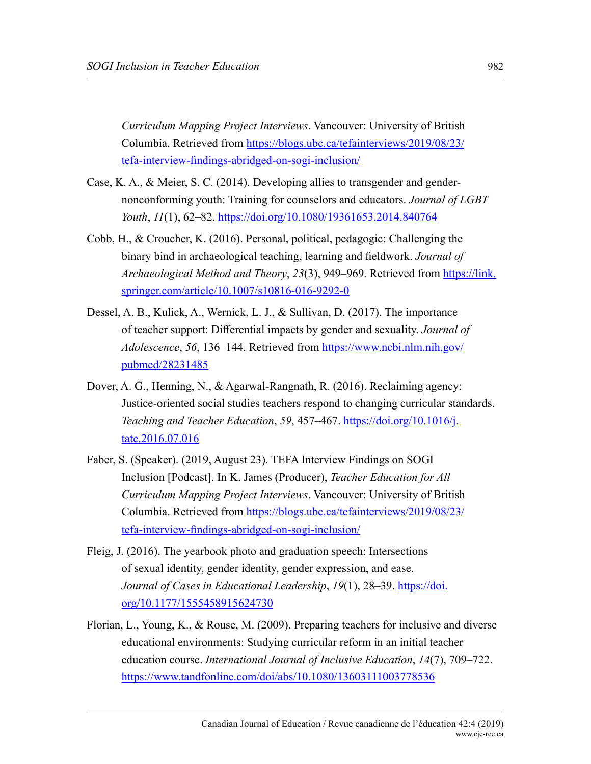*Curriculum Mapping Project Interviews*. Vancouver: University of British Columbia. Retrieved from [https://blogs.ubc.ca/tefainterviews/2019/08/23/](https://blogs.ubc.ca/tefainterviews/2019/08/23/tefa-interview-findings-abridged-on-sogi-inclusion/) [tefa-interview-findings-abridged-on-sogi-inclusion/](https://blogs.ubc.ca/tefainterviews/2019/08/23/tefa-interview-findings-abridged-on-sogi-inclusion/)

- Case, K. A., & Meier, S. C. (2014). Developing allies to transgender and gendernonconforming youth: Training for counselors and educators. *Journal of LGBT Youth*, *11*(1), 62–82.<https://doi.org/10.1080/19361653.2014.840764>
- Cobb, H., & Croucher, K. (2016). Personal, political, pedagogic: Challenging the binary bind in archaeological teaching, learning and fieldwork. *Journal of Archaeological Method and Theory*, *23*(3), 949–969. Retrieved from [https://link.](https://link.springer.com/article/10.1007/s10816-016-9292-0) [springer.com/article/10.1007/s10816-016-9292-0](https://link.springer.com/article/10.1007/s10816-016-9292-0)
- Dessel, A. B., Kulick, A., Wernick, L. J., & Sullivan, D. (2017). The importance of teacher support: Differential impacts by gender and sexuality. *Journal of Adolescence*, *56*, 136–144. Retrieved from [https://www.ncbi.nlm.nih.gov/](https://www.ncbi.nlm.nih.gov/pubmed/28231485) [pubmed/28231485](https://www.ncbi.nlm.nih.gov/pubmed/28231485)
- Dover, A. G., Henning, N., & Agarwal-Rangnath, R. (2016). Reclaiming agency: Justice-oriented social studies teachers respond to changing curricular standards. *Teaching and Teacher Education*, *59*, 457–467. [https://doi.org/10.1016/j.](https://doi.org/10.1016/j.tate.2016.07.016) [tate.2016.07.016](https://doi.org/10.1016/j.tate.2016.07.016)
- Faber, S. (Speaker). (2019, August 23). TEFA Interview Findings on SOGI Inclusion [Podcast]. In K. James (Producer), *Teacher Education for All Curriculum Mapping Project Interviews*. Vancouver: University of British Columbia. Retrieved from [https://blogs.ubc.ca/tefainterviews/2019/08/23/](https://blogs.ubc.ca/tefainterviews/2019/08/23/tefa-interview-findings-abridged-on-sogi-inclusion/) [tefa-interview-findings-abridged-on-sogi-inclusion/](https://blogs.ubc.ca/tefainterviews/2019/08/23/tefa-interview-findings-abridged-on-sogi-inclusion/)
- Fleig, J. (2016). The yearbook photo and graduation speech: Intersections of sexual identity, gender identity, gender expression, and ease. *Journal of Cases in Educational Leadership*, *19*(1), 28–39. [https://doi.](https://doi.org/10.1177/1555458915624730) [org/10.1177/1555458915624730](https://doi.org/10.1177/1555458915624730)
- Florian, L., Young, K., & Rouse, M. (2009). Preparing teachers for inclusive and diverse educational environments: Studying curricular reform in an initial teacher education course. *International Journal of Inclusive Education*, *14*(7), 709–722. <https://www.tandfonline.com/doi/abs/10.1080/13603111003778536>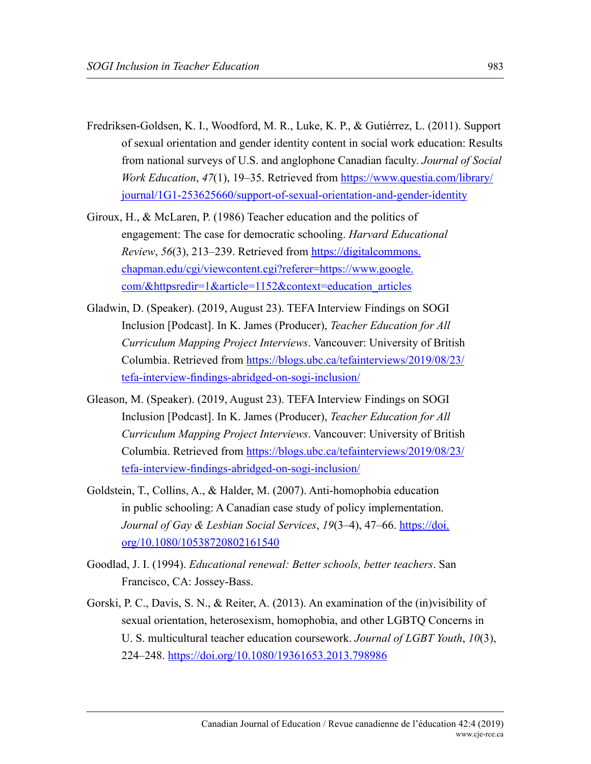- Fredriksen-Goldsen, K. I., Woodford, M. R., Luke, K. P., & Gutiérrez, L. (2011). Support of sexual orientation and gender identity content in social work education: Results from national surveys of U.S. and anglophone Canadian faculty. *Journal of Social Work Education*, *47*(1), 19–35. Retrieved from [https://www.questia.com/library/](https://www.questia.com/library/journal/1G1-253625660/support-of-sexual-orientation-and-gender-identity) [journal/1G1-253625660/support-of-sexual-orientation-and-gender-identity](https://www.questia.com/library/journal/1G1-253625660/support-of-sexual-orientation-and-gender-identity)
- Giroux, H., & McLaren, P. (1986) Teacher education and the politics of engagement: The case for democratic schooling. *Harvard Educational Review*, *56*(3), 213–239. Retrieved from [https://digitalcommons.](https://digitalcommons.chapman.edu/cgi/viewcontent.cgi?referer=https://www.google.com/&httpsredir=1&article=1152&context=education_articles) [chapman.edu/cgi/viewcontent.cgi?referer=https://www.google.](https://digitalcommons.chapman.edu/cgi/viewcontent.cgi?referer=https://www.google.com/&httpsredir=1&article=1152&context=education_articles) [com/&httpsredir=1&article=1152&context=education\\_articles](https://digitalcommons.chapman.edu/cgi/viewcontent.cgi?referer=https://www.google.com/&httpsredir=1&article=1152&context=education_articles)
- Gladwin, D. (Speaker). (2019, August 23). TEFA Interview Findings on SOGI Inclusion [Podcast]. In K. James (Producer), *Teacher Education for All Curriculum Mapping Project Interviews*. Vancouver: University of British Columbia. Retrieved from [https://blogs.ubc.ca/tefainterviews/2019/08/23/](https://blogs.ubc.ca/tefainterviews/2019/08/23/tefa-interview-findings-abridged-on-sogi-inclusion/) [tefa-interview-findings-abridged-on-sogi-inclusion/](https://blogs.ubc.ca/tefainterviews/2019/08/23/tefa-interview-findings-abridged-on-sogi-inclusion/)
- Gleason, M. (Speaker). (2019, August 23). TEFA Interview Findings on SOGI Inclusion [Podcast]. In K. James (Producer), *Teacher Education for All Curriculum Mapping Project Interviews*. Vancouver: University of British Columbia. Retrieved from [https://blogs.ubc.ca/tefainterviews/2019/08/23/](https://blogs.ubc.ca/tefainterviews/2019/08/23/tefa-interview-findings-abridged-on-sogi-inclusion/) [tefa-interview-findings-abridged-on-sogi-inclusion/](https://blogs.ubc.ca/tefainterviews/2019/08/23/tefa-interview-findings-abridged-on-sogi-inclusion/)
- Goldstein, T., Collins, A., & Halder, M. (2007). Anti-homophobia education in public schooling: A Canadian case study of policy implementation. *Journal of Gay & Lesbian Social Services*, *19*(3–4), 47–66. [https://doi.](https://doi.org/10.1080/10538720802161540) [org/10.1080/10538720802161540](https://doi.org/10.1080/10538720802161540)
- Goodlad, J. I. (1994). *Educational renewal: Better schools, better teachers*. San Francisco, CA: Jossey-Bass.
- Gorski, P. C., Davis, S. N., & Reiter, A. (2013). An examination of the (in)visibility of sexual orientation, heterosexism, homophobia, and other LGBTQ Concerns in U. S. multicultural teacher education coursework. *Journal of LGBT Youth*, *10*(3), 224–248. <https://doi.org/10.1080/19361653.2013.798986>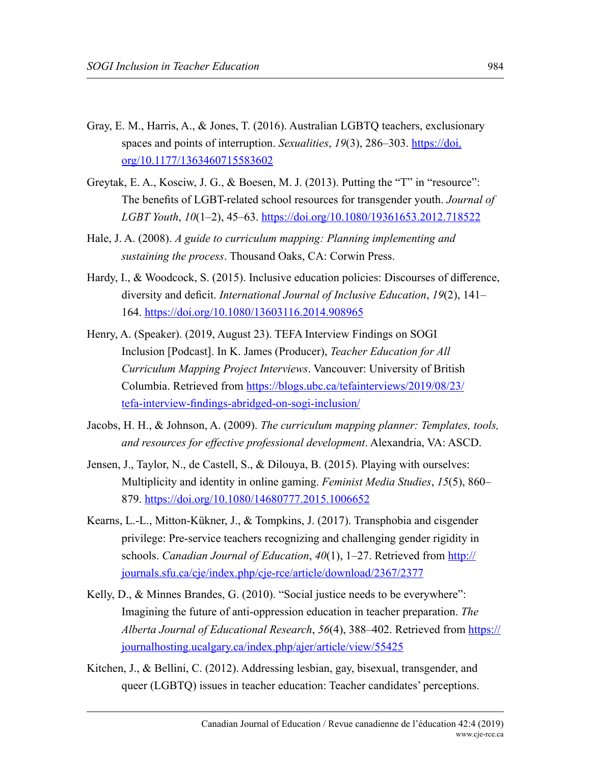- Gray, E. M., Harris, A., & Jones, T. (2016). Australian LGBTQ teachers, exclusionary spaces and points of interruption. *Sexualities*, 19(3), 286–303. [https://doi.](https://doi.org/10.1177/1363460715583602) [org/10.1177/1363460715583602](https://doi.org/10.1177/1363460715583602)
- Greytak, E. A., Kosciw, J. G., & Boesen, M. J. (2013). Putting the "T" in "resource": The benefits of LGBT-related school resources for transgender youth. *Journal of LGBT Youth*, *10*(1–2), 45–63.<https://doi.org/10.1080/19361653.2012.718522>
- Hale, J. A. (2008). *A guide to curriculum mapping: Planning implementing and sustaining the process*. Thousand Oaks, CA: Corwin Press.
- Hardy, I., & Woodcock, S. (2015). Inclusive education policies: Discourses of difference, diversity and deficit. *International Journal of Inclusive Education*, *19*(2), 141– 164.<https://doi.org/10.1080/13603116.2014.908965>
- Henry, A. (Speaker). (2019, August 23). TEFA Interview Findings on SOGI Inclusion [Podcast]. In K. James (Producer), *Teacher Education for All Curriculum Mapping Project Interviews*. Vancouver: University of British Columbia. Retrieved from [https://blogs.ubc.ca/tefainterviews/2019/08/23/](https://blogs.ubc.ca/tefainterviews/2019/08/23/tefa-interview-findings-abridged-on-sogi-inclusion/) [tefa-interview-findings-abridged-on-sogi-inclusion/](https://blogs.ubc.ca/tefainterviews/2019/08/23/tefa-interview-findings-abridged-on-sogi-inclusion/)
- Jacobs, H. H., & Johnson, A. (2009). *The curriculum mapping planner: Templates, tools, and resources for effective professional development*. Alexandria, VA: ASCD.
- Jensen, J., Taylor, N., de Castell, S., & Dilouya, B. (2015). Playing with ourselves: Multiplicity and identity in online gaming. *Feminist Media Studies*, *15*(5), 860– 879. <https://doi.org/10.1080/14680777.2015.1006652>
- Kearns, L.-L., Mitton-Kükner, J., & Tompkins, J. (2017). Transphobia and cisgender privilege: Pre-service teachers recognizing and challenging gender rigidity in schools. *Canadian Journal of Education*, *40*(1), 1–27. Retrieved from [http://](http://journals.sfu.ca/cje/index.php/cje-rce/article/download/2367/2377) [journals.sfu.ca/cje/index.php/cje-rce/article/download/2367/2377](http://journals.sfu.ca/cje/index.php/cje-rce/article/download/2367/2377)
- Kelly, D., & Minnes Brandes, G. (2010). "Social justice needs to be everywhere": Imagining the future of anti-oppression education in teacher preparation. *The Alberta Journal of Educational Research*, *56*(4), 388–402. Retrieved from [https://](https://journalhosting.ucalgary.ca/index.php/ajer/article/view/55425) [journalhosting.ucalgary.ca/index.php/ajer/article/view/55425](https://journalhosting.ucalgary.ca/index.php/ajer/article/view/55425)
- Kitchen, J., & Bellini, C. (2012). Addressing lesbian, gay, bisexual, transgender, and queer (LGBTQ) issues in teacher education: Teacher candidates' perceptions.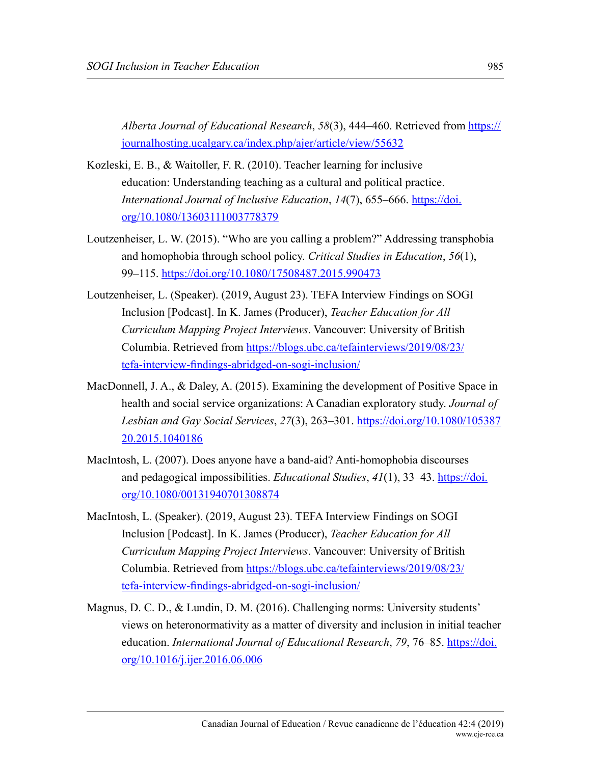*Alberta Journal of Educational Research*, *58*(3), 444–460. Retrieved from [https://](https://journalhosting.ucalgary.ca/index.php/ajer/article/view/55632) [journalhosting.ucalgary.ca/index.php/ajer/article/view/55632](https://journalhosting.ucalgary.ca/index.php/ajer/article/view/55632)

- Kozleski, E. B., & Waitoller, F. R. (2010). Teacher learning for inclusive education: Understanding teaching as a cultural and political practice. *International Journal of Inclusive Education*, *14*(7), 655–666. [https://doi.](https://doi.org/10.1080/13603111003778379) [org/10.1080/13603111003778379](https://doi.org/10.1080/13603111003778379)
- Loutzenheiser, L. W. (2015). "Who are you calling a problem?" Addressing transphobia and homophobia through school policy. *Critical Studies in Education*, *56*(1), 99–115. <https://doi.org/10.1080/17508487.2015.990473>
- Loutzenheiser, L. (Speaker). (2019, August 23). TEFA Interview Findings on SOGI Inclusion [Podcast]. In K. James (Producer), *Teacher Education for All Curriculum Mapping Project Interviews*. Vancouver: University of British Columbia. Retrieved from [https://blogs.ubc.ca/tefainterviews/2019/08/23/](https://blogs.ubc.ca/tefainterviews/2019/08/23/tefa-interview-findings-abridged-on-sogi-inclusion/) [tefa-interview-findings-abridged-on-sogi-inclusion/](https://blogs.ubc.ca/tefainterviews/2019/08/23/tefa-interview-findings-abridged-on-sogi-inclusion/)
- MacDonnell, J. A., & Daley, A. (2015). Examining the development of Positive Space in health and social service organizations: A Canadian exploratory study. *Journal of Lesbian and Gay Social Services*, *27*(3), 263–301. [https://doi.org/10.1080/105387](https://doi.org/10.1080/10538720.2015.1040186) [20.2015.1040186](https://doi.org/10.1080/10538720.2015.1040186)
- MacIntosh, L. (2007). Does anyone have a band-aid? Anti-homophobia discourses and pedagogical impossibilities. *Educational Studies*, *41*(1), 33–43. [https://doi.](https://doi.org/10.1080/00131940701308874) [org/10.1080/00131940701308874](https://doi.org/10.1080/00131940701308874)
- MacIntosh, L. (Speaker). (2019, August 23). TEFA Interview Findings on SOGI Inclusion [Podcast]. In K. James (Producer), *Teacher Education for All Curriculum Mapping Project Interviews*. Vancouver: University of British Columbia. Retrieved from [https://blogs.ubc.ca/tefainterviews/2019/08/23/](https://blogs.ubc.ca/tefainterviews/2019/08/23/tefa-interview-findings-abridged-on-sogi-inclusion/) [tefa-interview-findings-abridged-on-sogi-inclusion/](https://blogs.ubc.ca/tefainterviews/2019/08/23/tefa-interview-findings-abridged-on-sogi-inclusion/)
- Magnus, D. C. D., & Lundin, D. M. (2016). Challenging norms: University students' views on heteronormativity as a matter of diversity and inclusion in initial teacher education. *International Journal of Educational Research*, *79*, 76–85. [https://doi.](https://doi.org/10.1016/j.ijer.2016.06.006) [org/10.1016/j.ijer.2016.06.006](https://doi.org/10.1016/j.ijer.2016.06.006)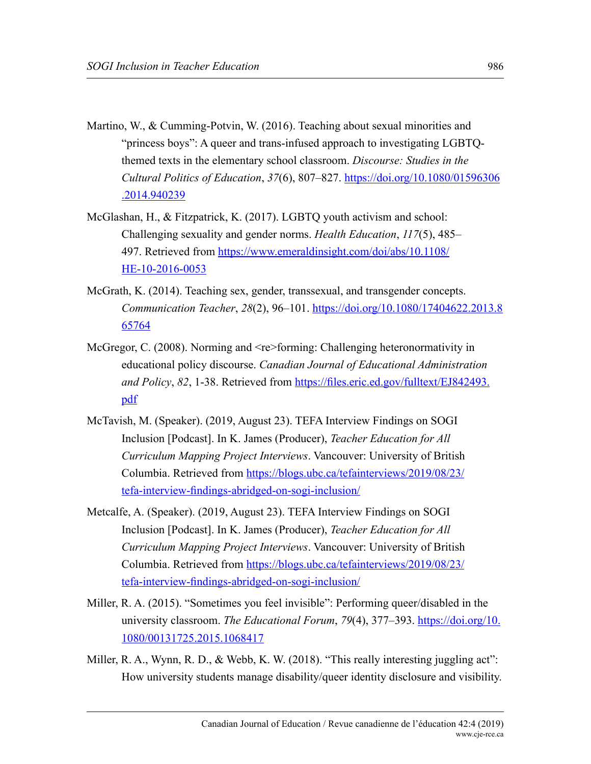- Martino, W., & Cumming-Potvin, W. (2016). Teaching about sexual minorities and "princess boys": A queer and trans-infused approach to investigating LGBTQthemed texts in the elementary school classroom. *Discourse: Studies in the Cultural Politics of Education*, *37*(6), 807–827. [https://doi.org/10.1080/01596306](https://doi.org/10.1080/01596306.2014.940239) [.2014.940239](https://doi.org/10.1080/01596306.2014.940239)
- McGlashan, H., & Fitzpatrick, K. (2017). LGBTQ youth activism and school: Challenging sexuality and gender norms. *Health Education*, *117*(5), 485– 497. Retrieved from [https://www.emeraldinsight.com/doi/abs/10.1108/](https://www.emeraldinsight.com/doi/abs/10.1108/HE-10-2016-0053) [HE-10-2016-0053](https://www.emeraldinsight.com/doi/abs/10.1108/HE-10-2016-0053)
- McGrath, K. (2014). Teaching sex, gender, transsexual, and transgender concepts. *Communication Teacher*, *28*(2), 96–101. [https://doi.org/10.1080/17404622.2013.8](https://doi.org/10.1080/17404622.2013.865764) [65764](https://doi.org/10.1080/17404622.2013.865764)
- McGregor, C. (2008). Norming and <re>forming: Challenging heteronormativity in educational policy discourse. *Canadian Journal of Educational Administration and Policy*, *82*, 1-38. Retrieved from [https://files.eric.ed.gov/fulltext/EJ842493.](https://files.eric.ed.gov/fulltext/EJ842493.pdf) [pdf](https://files.eric.ed.gov/fulltext/EJ842493.pdf)
- McTavish, M. (Speaker). (2019, August 23). TEFA Interview Findings on SOGI Inclusion [Podcast]. In K. James (Producer), *Teacher Education for All Curriculum Mapping Project Interviews*. Vancouver: University of British Columbia. Retrieved from [https://blogs.ubc.ca/tefainterviews/2019/08/23/](https://blogs.ubc.ca/tefainterviews/2019/08/23/tefa-interview-findings-abridged-on-sogi-inclusion/) [tefa-interview-findings-abridged-on-sogi-inclusion/](https://blogs.ubc.ca/tefainterviews/2019/08/23/tefa-interview-findings-abridged-on-sogi-inclusion/)
- Metcalfe, A. (Speaker). (2019, August 23). TEFA Interview Findings on SOGI Inclusion [Podcast]. In K. James (Producer), *Teacher Education for All Curriculum Mapping Project Interviews*. Vancouver: University of British Columbia. Retrieved from [https://blogs.ubc.ca/tefainterviews/2019/08/23/](https://blogs.ubc.ca/tefainterviews/2019/08/23/tefa-interview-findings-abridged-on-sogi-inclusion/) [tefa-interview-findings-abridged-on-sogi-inclusion/](https://blogs.ubc.ca/tefainterviews/2019/08/23/tefa-interview-findings-abridged-on-sogi-inclusion/)
- Miller, R. A. (2015). "Sometimes you feel invisible": Performing queer/disabled in the university classroom. *The Educational Forum*, 79(4), 377–393. [https://doi.org/10.](https://doi.org/10.1080/00131725.2015.1068417) [1080/00131725.2015.1068417](https://doi.org/10.1080/00131725.2015.1068417)
- Miller, R. A., Wynn, R. D., & Webb, K. W. (2018). "This really interesting juggling act": How university students manage disability/queer identity disclosure and visibility.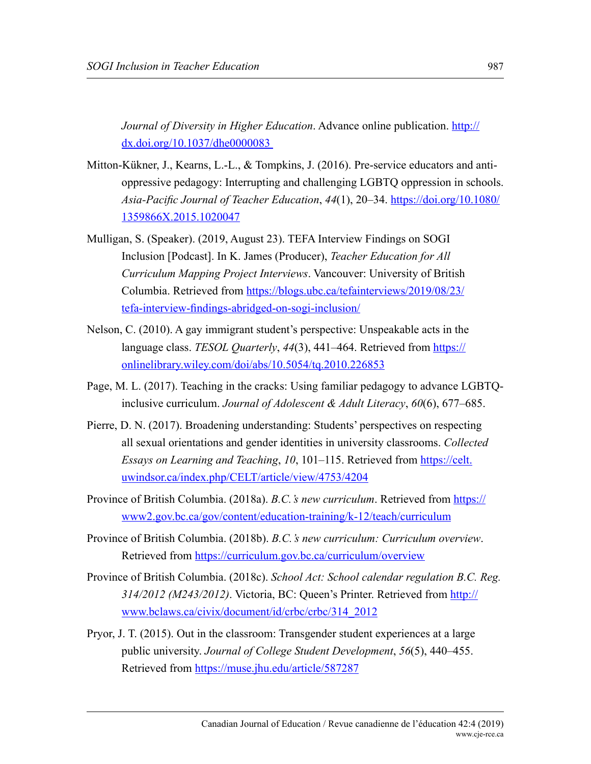*Journal of Diversity in Higher Education*. Advance online publication. [http://](http://dx.doi.org/10.1037/dhe0000083 ) [dx.doi.org/10.1037/dhe0000083](http://dx.doi.org/10.1037/dhe0000083 ) 

- Mitton-Kükner, J., Kearns, L.-L., & Tompkins, J. (2016). Pre-service educators and antioppressive pedagogy: Interrupting and challenging LGBTQ oppression in schools. *Asia-Pacific Journal of Teacher Education*, *44*(1), 20–34. [https://doi.org/10.1080/](https://doi.org/10.1080/1359866X.2015.1020047) [1359866X.2015.1020047](https://doi.org/10.1080/1359866X.2015.1020047)
- Mulligan, S. (Speaker). (2019, August 23). TEFA Interview Findings on SOGI Inclusion [Podcast]. In K. James (Producer), *Teacher Education for All Curriculum Mapping Project Interviews*. Vancouver: University of British Columbia. Retrieved from [https://blogs.ubc.ca/tefainterviews/2019/08/23/](https://blogs.ubc.ca/tefainterviews/2019/08/23/tefa-interview-findings-abridged-on-sogi-inclusion/) [tefa-interview-findings-abridged-on-sogi-inclusion/](https://blogs.ubc.ca/tefainterviews/2019/08/23/tefa-interview-findings-abridged-on-sogi-inclusion/)
- Nelson, C. (2010). A gay immigrant student's perspective: Unspeakable acts in the language class. *TESOL Quarterly*, *44*(3), 441–464. Retrieved from [https://](https://onlinelibrary.wiley.com/doi/abs/10.5054/tq.2010.226853) [onlinelibrary.wiley.com/doi/abs/10.5054/tq.2010.226853](https://onlinelibrary.wiley.com/doi/abs/10.5054/tq.2010.226853)
- Page, M. L. (2017). Teaching in the cracks: Using familiar pedagogy to advance LGBTQinclusive curriculum. *Journal of Adolescent & Adult Literacy*, *60*(6), 677–685.
- Pierre, D. N. (2017). Broadening understanding: Students' perspectives on respecting all sexual orientations and gender identities in university classrooms. *Collected Essays on Learning and Teaching*, *10*, 101–115. Retrieved from [https://celt.](https://celt.uwindsor.ca/index.php/CELT/article/view/4753/4204) [uwindsor.ca/index.php/CELT/article/view/4753/4204](https://celt.uwindsor.ca/index.php/CELT/article/view/4753/4204)
- Province of British Columbia. (2018a). *B.C.'s new curriculum*. Retrieved from [https://](https://www2.gov.bc.ca/gov/content/education-training/k-12/teach/curriculum) [www2.gov.bc.ca/gov/content/education-training/k-12/teach/curriculum](https://www2.gov.bc.ca/gov/content/education-training/k-12/teach/curriculum)
- Province of British Columbia. (2018b). *B.C.'s new curriculum: Curriculum overview*. Retrieved from<https://curriculum.gov.bc.ca/curriculum/overview>
- Province of British Columbia. (2018c). *School Act: School calendar regulation B.C. Reg. 314/2012 (M243/2012)*. Victoria, BC: Queen's Printer. Retrieved from [http://](http://www.bclaws.ca/civix/document/id/crbc/crbc/314_2012) [www.bclaws.ca/civix/document/id/crbc/crbc/314\\_2012](http://www.bclaws.ca/civix/document/id/crbc/crbc/314_2012)
- Pryor, J. T. (2015). Out in the classroom: Transgender student experiences at a large public university. *Journal of College Student Development*, *56*(5), 440–455. Retrieved from <https://muse.jhu.edu/article/587287>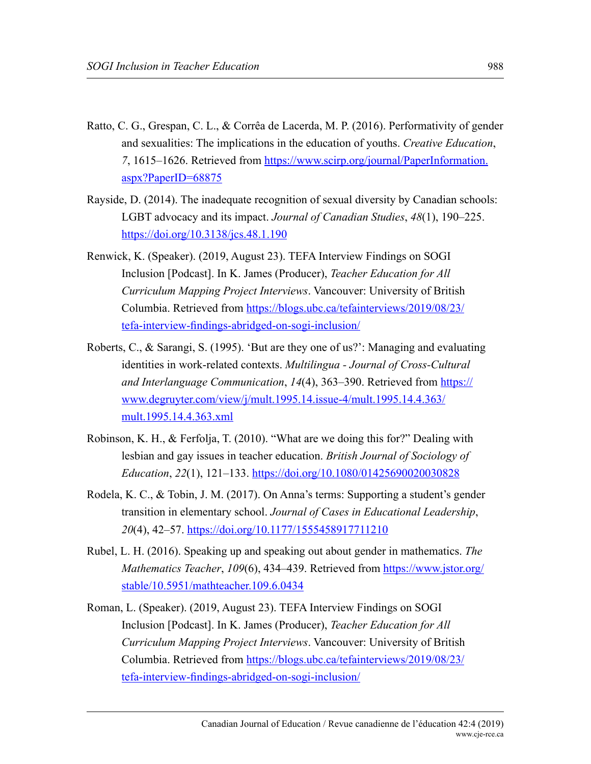- Ratto, C. G., Grespan, C. L., & Corrêa de Lacerda, M. P. (2016). Performativity of gender and sexualities: The implications in the education of youths. *Creative Education*, *7*, 1615–1626. Retrieved from [https://www.scirp.org/journal/PaperInformation.](https://www.scirp.org/journal/PaperInformation.aspx%3FPaperID%3D68875) [aspx?PaperID=68875](https://www.scirp.org/journal/PaperInformation.aspx%3FPaperID%3D68875)
- Rayside, D. (2014). The inadequate recognition of sexual diversity by Canadian schools: LGBT advocacy and its impact. *Journal of Canadian Studies*, *48*(1), 190–225. <https://doi.org/10.3138/jcs.48.1.190>
- Renwick, K. (Speaker). (2019, August 23). TEFA Interview Findings on SOGI Inclusion [Podcast]. In K. James (Producer), *Teacher Education for All Curriculum Mapping Project Interviews*. Vancouver: University of British Columbia. Retrieved from [https://blogs.ubc.ca/tefainterviews/2019/08/23/](https://blogs.ubc.ca/tefainterviews/2019/08/23/tefa-interview-findings-abridged-on-sogi-inclusion/) [tefa-interview-findings-abridged-on-sogi-inclusion/](https://blogs.ubc.ca/tefainterviews/2019/08/23/tefa-interview-findings-abridged-on-sogi-inclusion/)
- Roberts, C., & Sarangi, S. (1995). 'But are they one of us?': Managing and evaluating identities in work-related contexts. *Multilingua - Journal of Cross-Cultural and Interlanguage Communication*, *14*(4), 363–390. Retrieved from [https://](https://www.degruyter.com/view/j/mult.1995.14.issue-4/mult.1995.14.4.363/mult.1995.14.4.363.xml) [www.degruyter.com/view/j/mult.1995.14.issue-4/mult.1995.14.4.363/](https://www.degruyter.com/view/j/mult.1995.14.issue-4/mult.1995.14.4.363/mult.1995.14.4.363.xml) [mult.1995.14.4.363.xml](https://www.degruyter.com/view/j/mult.1995.14.issue-4/mult.1995.14.4.363/mult.1995.14.4.363.xml)
- Robinson, K. H., & Ferfolja, T. (2010). "What are we doing this for?" Dealing with lesbian and gay issues in teacher education. *British Journal of Sociology of Education*, *22*(1), 121–133.<https://doi.org/10.1080/01425690020030828>
- Rodela, K. C., & Tobin, J. M. (2017). On Anna's terms: Supporting a student's gender transition in elementary school. *Journal of Cases in Educational Leadership*, *20*(4), 42–57. <https://doi.org/10.1177/1555458917711210>
- Rubel, L. H. (2016). Speaking up and speaking out about gender in mathematics. *The Mathematics Teacher*, *109*(6), 434–439. Retrieved from [https://www.jstor.org/](https://www.jstor.org/stable/10.5951/mathteacher.109.6.0434) [stable/10.5951/mathteacher.109.6.0434](https://www.jstor.org/stable/10.5951/mathteacher.109.6.0434)
- Roman, L. (Speaker). (2019, August 23). TEFA Interview Findings on SOGI Inclusion [Podcast]. In K. James (Producer), *Teacher Education for All Curriculum Mapping Project Interviews*. Vancouver: University of British Columbia. Retrieved from [https://blogs.ubc.ca/tefainterviews/2019/08/23/](https://blogs.ubc.ca/tefainterviews/2019/08/23/tefa-interview-findings-abridged-on-sogi-inclusion/) [tefa-interview-findings-abridged-on-sogi-inclusion/](https://blogs.ubc.ca/tefainterviews/2019/08/23/tefa-interview-findings-abridged-on-sogi-inclusion/)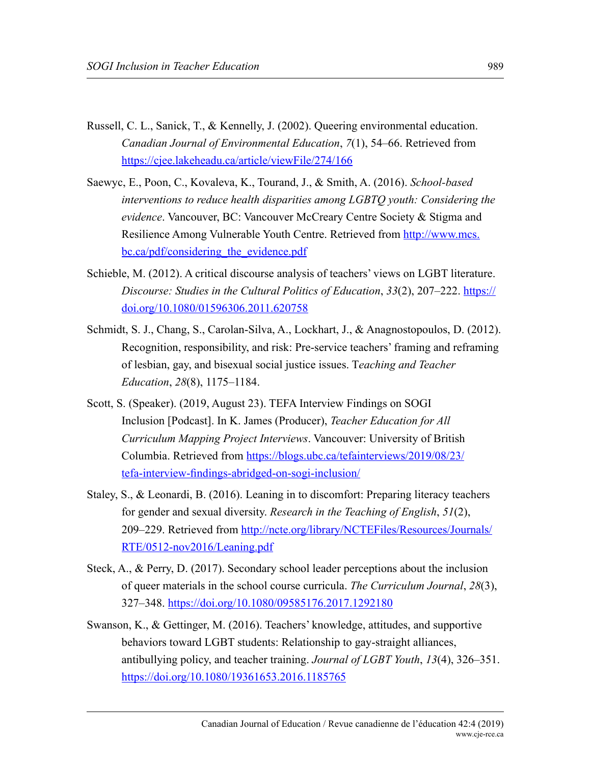- Russell, C. L., Sanick, T., & Kennelly, J. (2002). Queering environmental education. *Canadian Journal of Environmental Education*, *7*(1), 54–66. Retrieved from <https://cjee.lakeheadu.ca/article/viewFile/274/166>
- Saewyc, E., Poon, C., Kovaleva, K., Tourand, J., & Smith, A. (2016). *School-based interventions to reduce health disparities among LGBTQ youth: Considering the evidence*. Vancouver, BC: Vancouver McCreary Centre Society & Stigma and Resilience Among Vulnerable Youth Centre. Retrieved from [http://www.mcs.](http://www.mcs.bc.ca/pdf/considering_the_evidence.pdf) bc.ca/pdf/considering the evidence.pdf
- Schieble, M. (2012). A critical discourse analysis of teachers' views on LGBT literature. *Discourse: Studies in the Cultural Politics of Education*, *33*(2), 207–222. [https://](https://doi.org/10.1080/01596306.2011.620758) [doi.org/10.1080/01596306.2011.620758](https://doi.org/10.1080/01596306.2011.620758)
- Schmidt, S. J., Chang, S., Carolan-Silva, A., Lockhart, J., & Anagnostopoulos, D. (2012). Recognition, responsibility, and risk: Pre-service teachers' framing and reframing of lesbian, gay, and bisexual social justice issues. T*eaching and Teacher Education*, *28*(8), 1175–1184.
- Scott, S. (Speaker). (2019, August 23). TEFA Interview Findings on SOGI Inclusion [Podcast]. In K. James (Producer), *Teacher Education for All Curriculum Mapping Project Interviews*. Vancouver: University of British Columbia. Retrieved from [https://blogs.ubc.ca/tefainterviews/2019/08/23/](https://blogs.ubc.ca/tefainterviews/2019/08/23/tefa-interview-findings-abridged-on-sogi-inclusion/) [tefa-interview-findings-abridged-on-sogi-inclusion/](https://blogs.ubc.ca/tefainterviews/2019/08/23/tefa-interview-findings-abridged-on-sogi-inclusion/)
- Staley, S., & Leonardi, B. (2016). Leaning in to discomfort: Preparing literacy teachers for gender and sexual diversity. *Research in the Teaching of English*, *51*(2), 209–229. Retrieved from [http://ncte.org/library/NCTEFiles/Resources/Journals/](http://ncte.org/library/NCTEFiles/Resources/Journals/RTE/0512-nov2016/Leaning.pdf) [RTE/0512-nov2016/Leaning.pdf](http://ncte.org/library/NCTEFiles/Resources/Journals/RTE/0512-nov2016/Leaning.pdf)
- Steck, A., & Perry, D. (2017). Secondary school leader perceptions about the inclusion of queer materials in the school course curricula. *The Curriculum Journal*, *28*(3), 327–348. <https://doi.org/10.1080/09585176.2017.1292180>
- Swanson, K., & Gettinger, M. (2016). Teachers' knowledge, attitudes, and supportive behaviors toward LGBT students: Relationship to gay-straight alliances, antibullying policy, and teacher training. *Journal of LGBT Youth*, *13*(4), 326–351. <https://doi.org/10.1080/19361653.2016.1185765>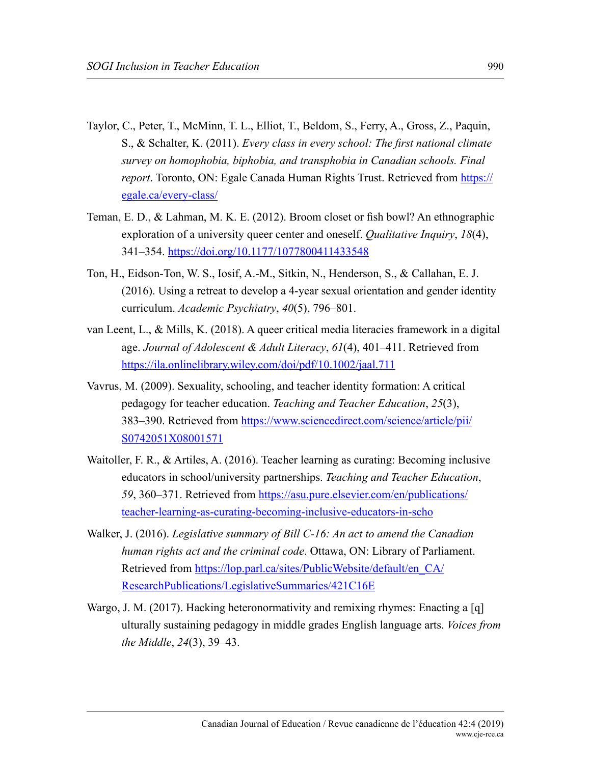- Taylor, C., Peter, T., McMinn, T. L., Elliot, T., Beldom, S., Ferry, A., Gross, Z., Paquin, S., & Schalter, K. (2011). *Every class in every school: The first national climate survey on homophobia, biphobia, and transphobia in Canadian schools. Final report*. Toronto, ON: Egale Canada Human Rights Trust. Retrieved from [https://](https://egale.ca/every-class/) [egale.ca/every-class/](https://egale.ca/every-class/)
- Teman, E. D., & Lahman, M. K. E. (2012). Broom closet or fish bowl? An ethnographic exploration of a university queer center and oneself. *Qualitative Inquiry*, *18*(4), 341–354.<https://doi.org/10.1177/1077800411433548>
- Ton, H., Eidson-Ton, W. S., Iosif, A.-M., Sitkin, N., Henderson, S., & Callahan, E. J. (2016). Using a retreat to develop a 4-year sexual orientation and gender identity curriculum. *Academic Psychiatry*, *40*(5), 796–801.
- van Leent, L., & Mills, K. (2018). A queer critical media literacies framework in a digital age. *Journal of Adolescent & Adult Literacy*, *61*(4), 401–411. Retrieved from <https://ila.onlinelibrary.wiley.com/doi/pdf/10.1002/jaal.711>
- Vavrus, M. (2009). Sexuality, schooling, and teacher identity formation: A critical pedagogy for teacher education. *Teaching and Teacher Education*, *25*(3), 383–390. Retrieved from [https://www.sciencedirect.com/science/article/pii/](https://www.sciencedirect.com/science/article/pii/S0742051X08001571) [S0742051X08001571](https://www.sciencedirect.com/science/article/pii/S0742051X08001571)
- Waitoller, F. R., & Artiles, A. (2016). Teacher learning as curating: Becoming inclusive educators in school/university partnerships. *Teaching and Teacher Education*, *59*, 360–371. Retrieved from [https://asu.pure.elsevier.com/en/publications/](https://asu.pure.elsevier.com/en/publications/teacher-learning-as-curating-becoming-inclusive-educators-in-scho) [teacher-learning-as-curating-becoming-inclusive-educators-in-scho](https://asu.pure.elsevier.com/en/publications/teacher-learning-as-curating-becoming-inclusive-educators-in-scho)
- Walker, J. (2016). *Legislative summary of Bill C-16: An act to amend the Canadian human rights act and the criminal code*. Ottawa, ON: Library of Parliament. Retrieved from [https://lop.parl.ca/sites/PublicWebsite/default/en\\_CA/](https://lop.parl.ca/sites/PublicWebsite/default/en_CA/ResearchPublications/LegislativeSummaries/421C16E) [ResearchPublications/LegislativeSummaries/421C16E](https://lop.parl.ca/sites/PublicWebsite/default/en_CA/ResearchPublications/LegislativeSummaries/421C16E)
- Wargo, J. M. (2017). Hacking heteronormativity and remixing rhymes: Enacting a [q] ulturally sustaining pedagogy in middle grades English language arts. *Voices from the Middle*, *24*(3), 39–43.